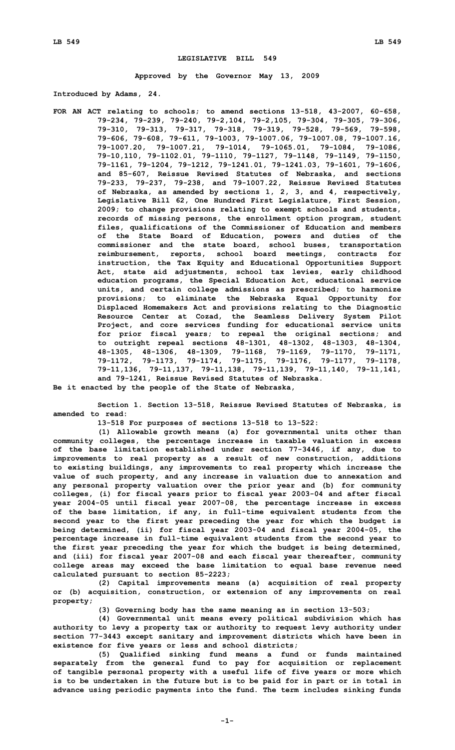## **LEGISLATIVE BILL 549**

**Approved by the Governor May 13, 2009**

**Introduced by Adams, 24.**

**FOR AN ACT relating to schools; to amend sections 13-518, 43-2007, 60-658, 79-234, 79-239, 79-240, 79-2,104, 79-2,105, 79-304, 79-305, 79-306, 79-310, 79-313, 79-317, 79-318, 79-319, 79-528, 79-569, 79-598, 79-606, 79-608, 79-611, 79-1003, 79-1007.06, 79-1007.08, 79-1007.16, 79-1007.20, 79-1007.21, 79-1014, 79-1065.01, 79-1084, 79-1086, 79-10,110, 79-1102.01, 79-1110, 79-1127, 79-1148, 79-1149, 79-1150, 79-1161, 79-1204, 79-1212, 79-1241.01, 79-1241.03, 79-1601, 79-1606, and 85-607, Reissue Revised Statutes of Nebraska, and sections 79-233, 79-237, 79-238, and 79-1007.22, Reissue Revised Statutes of Nebraska, as amended by sections 1, 2, 3, and 4, respectively, Legislative Bill 62, One Hundred First Legislature, First Session, 2009; to change provisions relating to exempt schools and students, records of missing persons, the enrollment option program, student files, qualifications of the Commissioner of Education and members of the State Board of Education, powers and duties of the commissioner and the state board, school buses, transportation reimbursement, reports, school board meetings, contracts for instruction, the Tax Equity and Educational Opportunities Support Act, state aid adjustments, school tax levies, early childhood education programs, the Special Education Act, educational service units, and certain college admissions as prescribed; to harmonize provisions; to eliminate the Nebraska Equal Opportunity for Displaced Homemakers Act and provisions relating to the Diagnostic Resource Center at Cozad, the Seamless Delivery System Pilot Project, and core services funding for educational service units for prior fiscal years; to repeal the original sections; and to outright repeal sections 48-1301, 48-1302, 48-1303, 48-1304, 48-1305, 48-1306, 48-1309, 79-1168, 79-1169, 79-1170, 79-1171, 79-1172, 79-1173, 79-1174, 79-1175, 79-1176, 79-1177, 79-1178, 79-11,136, 79-11,137, 79-11,138, 79-11,139, 79-11,140, 79-11,141, and 79-1241, Reissue Revised Statutes of Nebraska.**

**Be it enacted by the people of the State of Nebraska,**

**Section 1. Section 13-518, Reissue Revised Statutes of Nebraska, is amended to read:**

**13-518 For purposes of sections 13-518 to 13-522:**

**(1) Allowable growth means (a) for governmental units other than community colleges, the percentage increase in taxable valuation in excess of the base limitation established under section 77-3446, if any, due to improvements to real property as <sup>a</sup> result of new construction, additions to existing buildings, any improvements to real property which increase the value of such property, and any increase in valuation due to annexation and any personal property valuation over the prior year and (b) for community colleges, (i) for fiscal years prior to fiscal year 2003-04 and after fiscal year 2004-05 until fiscal year 2007-08, the percentage increase in excess of the base limitation, if any, in full-time equivalent students from the second year to the first year preceding the year for which the budget is being determined, (ii) for fiscal year 2003-04 and fiscal year 2004-05, the percentage increase in full-time equivalent students from the second year to the first year preceding the year for which the budget is being determined, and (iii) for fiscal year 2007-08 and each fiscal year thereafter, community college areas may exceed the base limitation to equal base revenue need calculated pursuant to section 85-2223;**

**(2) Capital improvements means (a) acquisition of real property or (b) acquisition, construction, or extension of any improvements on real property;**

**(3) Governing body has the same meaning as in section 13-503;**

**(4) Governmental unit means every political subdivision which has authority to levy <sup>a</sup> property tax or authority to request levy authority under section 77-3443 except sanitary and improvement districts which have been in existence for five years or less and school districts;**

**(5) Qualified sinking fund means <sup>a</sup> fund or funds maintained separately from the general fund to pay for acquisition or replacement of tangible personal property with <sup>a</sup> useful life of five years or more which is to be undertaken in the future but is to be paid for in part or in total in advance using periodic payments into the fund. The term includes sinking funds**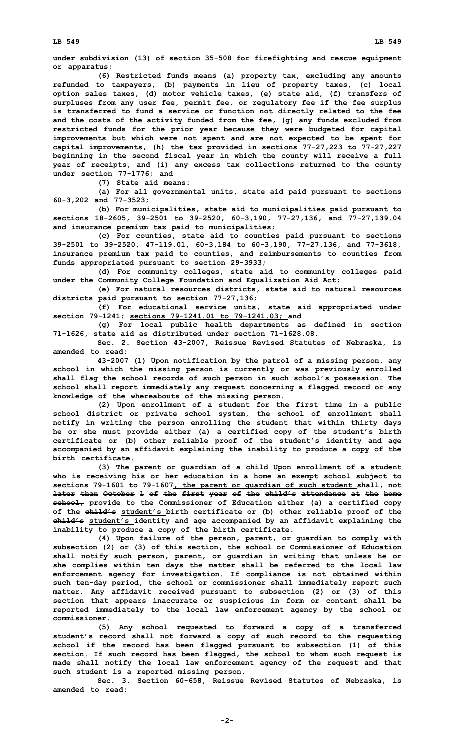**under subdivision (13) of section 35-508 for firefighting and rescue equipment or apparatus;**

**(6) Restricted funds means (a) property tax, excluding any amounts refunded to taxpayers, (b) payments in lieu of property taxes, (c) local option sales taxes, (d) motor vehicle taxes, (e) state aid, (f) transfers of surpluses from any user fee, permit fee, or regulatory fee if the fee surplus is transferred to fund <sup>a</sup> service or function not directly related to the fee and the costs of the activity funded from the fee, (g) any funds excluded from restricted funds for the prior year because they were budgeted for capital improvements but which were not spent and are not expected to be spent for capital improvements, (h) the tax provided in sections 77-27,223 to 77-27,227 beginning in the second fiscal year in which the county will receive <sup>a</sup> full year of receipts, and (i) any excess tax collections returned to the county under section 77-1776; and**

**(7) State aid means:**

**(a) For all governmental units, state aid paid pursuant to sections 60-3,202 and 77-3523;**

**(b) For municipalities, state aid to municipalities paid pursuant to sections 18-2605, 39-2501 to 39-2520, 60-3,190, 77-27,136, and 77-27,139.04 and insurance premium tax paid to municipalities;**

**(c) For counties, state aid to counties paid pursuant to sections 39-2501 to 39-2520, 47-119.01, 60-3,184 to 60-3,190, 77-27,136, and 77-3618, insurance premium tax paid to counties, and reimbursements to counties from funds appropriated pursuant to section 29-3933;**

**(d) For community colleges, state aid to community colleges paid under the Community College Foundation and Equalization Aid Act;**

**(e) For natural resources districts, state aid to natural resources districts paid pursuant to section 77-27,136;**

**(f) For educational service units, state aid appropriated under section 79-1241; sections 79-1241.01 to 79-1241.03; and**

**(g) For local public health departments as defined in section 71-1626, state aid as distributed under section 71-1628.08.**

**Sec. 2. Section 43-2007, Reissue Revised Statutes of Nebraska, is amended to read:**

**43-2007 (1) Upon notification by the patrol of <sup>a</sup> missing person, any school in which the missing person is currently or was previously enrolled shall flag the school records of such person in such school's possession. The school shall report immediately any request concerning <sup>a</sup> flagged record or any knowledge of the whereabouts of the missing person.**

**(2) Upon enrollment of <sup>a</sup> student for the first time in <sup>a</sup> public school district or private school system, the school of enrollment shall notify in writing the person enrolling the student that within thirty days he or she must provide either (a) <sup>a</sup> certified copy of the student's birth certificate or (b) other reliable proof of the student's identity and age accompanied by an affidavit explaining the inability to produce <sup>a</sup> copy of the birth certificate.**

**(3) The parent or guardian of <sup>a</sup> child Upon enrollment of <sup>a</sup> student who is receiving his or her education in <sup>a</sup> home an exempt school subject to sections 79-1601 to 79-1607, the parent or guardian of such student shall, not later than October 1 of the first year of the child's attendance at the home school, provide to the Commissioner of Education either (a) <sup>a</sup> certified copy of the child's student's birth certificate or (b) other reliable proof of the child's student's identity and age accompanied by an affidavit explaining the inability to produce <sup>a</sup> copy of the birth certificate.**

**(4) Upon failure of the person, parent, or guardian to comply with subsection (2) or (3) of this section, the school or Commissioner of Education shall notify such person, parent, or guardian in writing that unless he or she complies within ten days the matter shall be referred to the local law enforcement agency for investigation. If compliance is not obtained within such ten-day period, the school or commissioner shall immediately report such matter. Any affidavit received pursuant to subsection (2) or (3) of this section that appears inaccurate or suspicious in form or content shall be reported immediately to the local law enforcement agency by the school or commissioner.**

**(5) Any school requested to forward <sup>a</sup> copy of <sup>a</sup> transferred student's record shall not forward <sup>a</sup> copy of such record to the requesting school if the record has been flagged pursuant to subsection (1) of this section. If such record has been flagged, the school to whom such request is made shall notify the local law enforcement agency of the request and that such student is <sup>a</sup> reported missing person.**

**Sec. 3. Section 60-658, Reissue Revised Statutes of Nebraska, is amended to read:**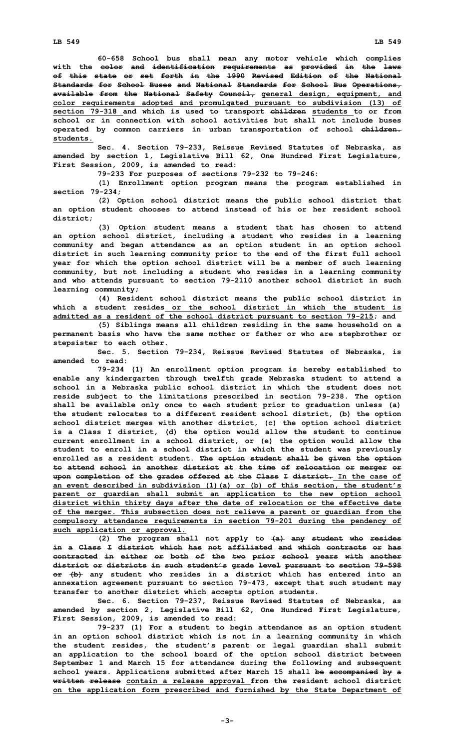**60-658 School bus shall mean any motor vehicle which complies with the color and identification requirements as provided in the laws of this state or set forth in the 1990 Revised Edition of the National Standards for School Buses and National Standards for School Bus Operations, available from the National Safety Council, general design, equipment, and color requirements adopted and promulgated pursuant to subdivision (13) of section 79-318 and which is used to transport children students to or from school or in connection with school activities but shall not include buses operated by common carriers in urban transportation of school children. students.**

**Sec. 4. Section 79-233, Reissue Revised Statutes of Nebraska, as amended by section 1, Legislative Bill 62, One Hundred First Legislature, First Session, 2009, is amended to read:**

**79-233 For purposes of sections 79-232 to 79-246:**

**(1) Enrollment option program means the program established in section 79-234;**

**(2) Option school district means the public school district that an option student chooses to attend instead of his or her resident school district;**

**(3) Option student means <sup>a</sup> student that has chosen to attend an option school district, including <sup>a</sup> student who resides in <sup>a</sup> learning community and began attendance as an option student in an option school district in such learning community prior to the end of the first full school year for which the option school district will be <sup>a</sup> member of such learning community, but not including <sup>a</sup> student who resides in <sup>a</sup> learning community and who attends pursuant to section 79-2110 another school district in such learning community;**

**(4) Resident school district means the public school district in which a student resides or the school district in which the student is admitted as <sup>a</sup> resident of the school district pursuant to section 79-215; and**

**(5) Siblings means all children residing in the same household on <sup>a</sup> permanent basis who have the same mother or father or who are stepbrother or stepsister to each other.**

**Sec. 5. Section 79-234, Reissue Revised Statutes of Nebraska, is amended to read:**

**79-234 (1) An enrollment option program is hereby established to enable any kindergarten through twelfth grade Nebraska student to attend <sup>a</sup> school in <sup>a</sup> Nebraska public school district in which the student does not reside subject to the limitations prescribed in section 79-238. The option shall be available only once to each student prior to graduation unless (a) the student relocates to <sup>a</sup> different resident school district, (b) the option school district merges with another district, (c) the option school district is <sup>a</sup> Class <sup>I</sup> district, (d) the option would allow the student to continue current enrollment in <sup>a</sup> school district, or (e) the option would allow the student to enroll in <sup>a</sup> school district in which the student was previously enrolled as <sup>a</sup> resident student. The option student shall be given the option to attend school in another district at the time of relocation or merger or upon completion of the grades offered at the Class I district. In the case of an event described in subdivision (1)(a) or (b) of this section, the student's parent or guardian shall submit an application to the new option school district within thirty days after the date of relocation or the effective date of the merger. This subsection does not relieve <sup>a</sup> parent or guardian from the compulsory attendance requirements in section 79-201 during the pendency of such application or approval.**

**(2) The program shall not apply to (a) any student who resides in a Class I district which has not affiliated and which contracts or has contracted in either or both of the two prior school years with another district or districts in such student's grade level pursuant to section 79-598 or (b) any student who resides in <sup>a</sup> district which has entered into an annexation agreement pursuant to section 79-473, except that such student may transfer to another district which accepts option students.**

**Sec. 6. Section 79-237, Reissue Revised Statutes of Nebraska, as amended by section 2, Legislative Bill 62, One Hundred First Legislature, First Session, 2009, is amended to read:**

**79-237 (1) For <sup>a</sup> student to begin attendance as an option student in an option school district which is not in <sup>a</sup> learning community in which the student resides, the student's parent or legal guardian shall submit an application to the school board of the option school district between September 1 and March 15 for attendance during the following and subsequent school years. Applications submitted after March 15 shall be accompanied by <sup>a</sup> written release contain <sup>a</sup> release approval from the resident school district on the application form prescribed and furnished by the State Department of**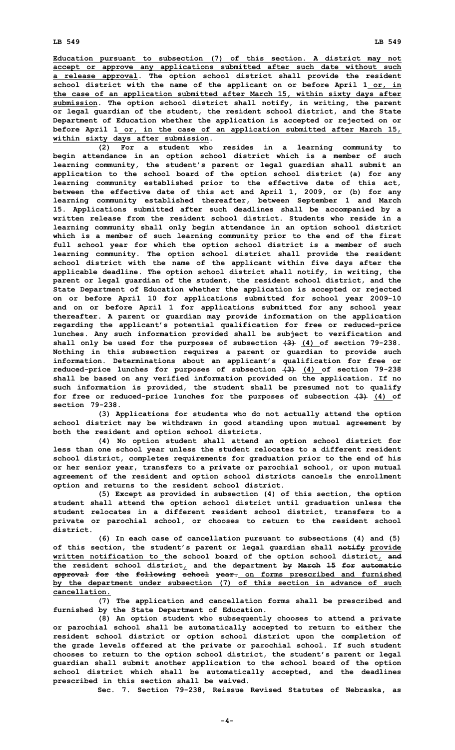**Education pursuant to subsection (7) of this section. <sup>A</sup> district may not accept or approve any applications submitted after such date without such <sup>a</sup> release approval. The option school district shall provide the resident school district with the name of the applicant on or before April 1 or, in the case of an application submitted after March 15, within sixty days after submission. The option school district shall notify, in writing, the parent or legal guardian of the student, the resident school district, and the State Department of Education whether the application is accepted or rejected on or before April 1 or, in the case of an application submitted after March 15, within sixty days after submission.**

**(2) For <sup>a</sup> student who resides in <sup>a</sup> learning community to begin attendance in an option school district which is <sup>a</sup> member of such learning community, the student's parent or legal guardian shall submit an application to the school board of the option school district (a) for any learning community established prior to the effective date of this act, between the effective date of this act and April 1, 2009, or (b) for any learning community established thereafter, between September 1 and March 15. Applications submitted after such deadlines shall be accompanied by <sup>a</sup> written release from the resident school district. Students who reside in a learning community shall only begin attendance in an option school district which is <sup>a</sup> member of such learning community prior to the end of the first full school year for which the option school district is <sup>a</sup> member of such learning community. The option school district shall provide the resident school district with the name of the applicant within five days after the applicable deadline. The option school district shall notify, in writing, the parent or legal guardian of the student, the resident school district, and the State Department of Education whether the application is accepted or rejected on or before April 10 for applications submitted for school year 2009-10 and on or before April 1 for applications submitted for any school year thereafter. A parent or guardian may provide information on the application regarding the applicant's potential qualification for free or reduced-price lunches. Any such information provided shall be subject to verification and shall only be used for the purposes of subsection (3) (4) of section 79-238. Nothing in this subsection requires <sup>a</sup> parent or guardian to provide such information. Determinations about an applicant's qualification for free or reduced-price lunches for purposes of subsection (3) (4) of section 79-238 shall be based on any verified information provided on the application. If no such information is provided, the student shall be presumed not to qualify for free or reduced-price lunches for the purposes of subsection (3) (4) of section 79-238.**

**(3) Applications for students who do not actually attend the option school district may be withdrawn in good standing upon mutual agreement by both the resident and option school districts.**

**(4) No option student shall attend an option school district for less than one school year unless the student relocates to <sup>a</sup> different resident school district, completes requirements for graduation prior to the end of his or her senior year, transfers to <sup>a</sup> private or parochial school, or upon mutual agreement of the resident and option school districts cancels the enrollment option and returns to the resident school district.**

**(5) Except as provided in subsection (4) of this section, the option student shall attend the option school district until graduation unless the student relocates in <sup>a</sup> different resident school district, transfers to <sup>a</sup> private or parochial school, or chooses to return to the resident school district.**

**(6) In each case of cancellation pursuant to subsections (4) and (5) of this section, the student's parent or legal guardian shall notify provide written notification to the school board of the option school district, and the resident school district, and the department by March 15 for automatic approval for the following school year. on forms prescribed and furnished by the department under subsection (7) of this section in advance of such cancellation.**

**(7) The application and cancellation forms shall be prescribed and furnished by the State Department of Education.**

**(8) An option student who subsequently chooses to attend <sup>a</sup> private or parochial school shall be automatically accepted to return to either the resident school district or option school district upon the completion of the grade levels offered at the private or parochial school. If such student chooses to return to the option school district, the student's parent or legal guardian shall submit another application to the school board of the option school district which shall be automatically accepted, and the deadlines prescribed in this section shall be waived.**

**Sec. 7. Section 79-238, Reissue Revised Statutes of Nebraska, as**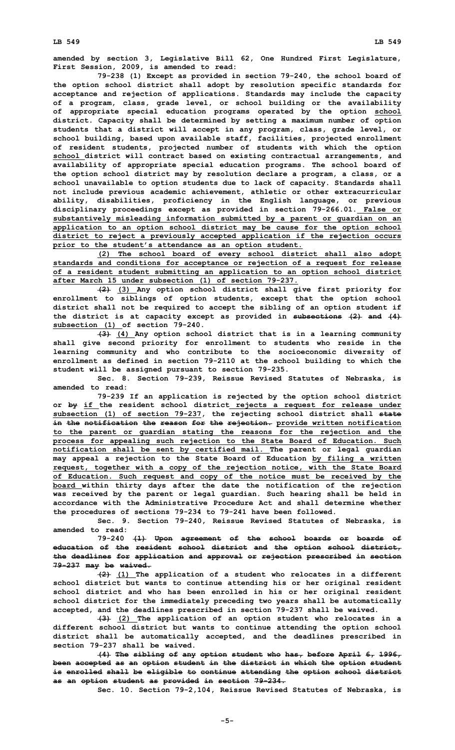**amended by section 3, Legislative Bill 62, One Hundred First Legislature, First Session, 2009, is amended to read:**

**79-238 (1) Except as provided in section 79-240, the school board of the option school district shall adopt by resolution specific standards for acceptance and rejection of applications. Standards may include the capacity of <sup>a</sup> program, class, grade level, or school building or the availability of appropriate special education programs operated by the option school district. Capacity shall be determined by setting <sup>a</sup> maximum number of option students that <sup>a</sup> district will accept in any program, class, grade level, or school building, based upon available staff, facilities, projected enrollment of resident students, projected number of students with which the option school district will contract based on existing contractual arrangements, and availability of appropriate special education programs. The school board of the option school district may by resolution declare <sup>a</sup> program, <sup>a</sup> class, or <sup>a</sup> school unavailable to option students due to lack of capacity. Standards shall not include previous academic achievement, athletic or other extracurricular ability, disabilities, proficiency in the English language, or previous disciplinary proceedings except as provided in section 79-266.01. False or substantively misleading information submitted by <sup>a</sup> parent or guardian on an application to an option school district may be cause for the option school district to reject <sup>a</sup> previously accepted application if the rejection occurs prior to the student's attendance as an option student.**

**(2) The school board of every school district shall also adopt standards and conditions for acceptance or rejection of <sup>a</sup> request for release of <sup>a</sup> resident student submitting an application to an option school district after March 15 under subsection (1) of section 79-237.**

**(2) (3) Any option school district shall give first priority for enrollment to siblings of option students, except that the option school district shall not be required to accept the sibling of an option student if the district is at capacity except as provided in subsections (2) and (4) subsection (1) of section 79-240.**

**(3) (4) Any option school district that is in <sup>a</sup> learning community shall give second priority for enrollment to students who reside in the learning community and who contribute to the socioeconomic diversity of enrollment as defined in section 79-2110 at the school building to which the student will be assigned pursuant to section 79-235.**

**Sec. 8. Section 79-239, Reissue Revised Statutes of Nebraska, is amended to read:**

**79-239 If an application is rejected by the option school district or by if the resident school district rejects <sup>a</sup> request for release under subsection (1) of section 79-237, the rejecting school district shall state in the notification the reason for the rejection. provide written notification to the parent or guardian stating the reasons for the rejection and the process for appealing such rejection to the State Board of Education. Such notification shall be sent by certified mail. The parent or legal guardian may appeal <sup>a</sup> rejection to the State Board of Education by filing <sup>a</sup> written request, together with <sup>a</sup> copy of the rejection notice, with the State Board of Education. Such request and copy of the notice must be received by the board within thirty days after the date the notification of the rejection was received by the parent or legal guardian. Such hearing shall be held in accordance with the Administrative Procedure Act and shall determine whether the procedures of sections 79-234 to 79-241 have been followed.**

**Sec. 9. Section 79-240, Reissue Revised Statutes of Nebraska, is amended to read:**

**79-240 (1) Upon agreement of the school boards or boards of education of the resident school district and the option school district, the deadlines for application and approval or rejection prescribed in section 79-237 may be waived.**

**(2) (1) The application of <sup>a</sup> student who relocates in <sup>a</sup> different school district but wants to continue attending his or her original resident school district and who has been enrolled in his or her original resident school district for the immediately preceding two years shall be automatically accepted, and the deadlines prescribed in section 79-237 shall be waived.**

**(3) (2) The application of an option student who relocates in <sup>a</sup> different school district but wants to continue attending the option school district shall be automatically accepted, and the deadlines prescribed in section 79-237 shall be waived.**

**(4) The sibling of any option student who has, before April 6, 1996, been accepted as an option student in the district in which the option student is enrolled shall be eligible to continue attending the option school district as an option student as provided in section 79-234.**

**Sec. 10. Section 79-2,104, Reissue Revised Statutes of Nebraska, is**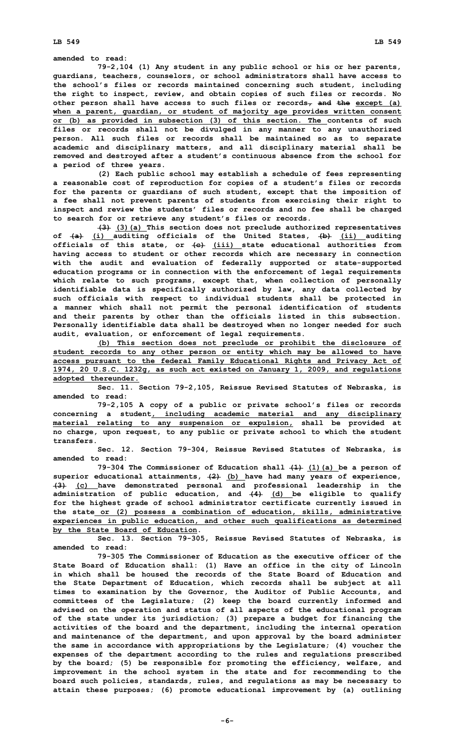**LB 549 LB 549**

**amended to read:**

**79-2,104 (1) Any student in any public school or his or her parents, guardians, teachers, counselors, or school administrators shall have access to the school's files or records maintained concerning such student, including the right to inspect, review, and obtain copies of such files or records. No other person shall have access to such files or records, and the except (a) when <sup>a</sup> parent, guardian, or student of majority age provides written consent or (b) as provided in subsection (3) of this section. The contents of such files or records shall not be divulged in any manner to any unauthorized person. All such files or records shall be maintained so as to separate academic and disciplinary matters, and all disciplinary material shall be removed and destroyed after <sup>a</sup> student's continuous absence from the school for <sup>a</sup> period of three years.**

**(2) Each public school may establish <sup>a</sup> schedule of fees representing <sup>a</sup> reasonable cost of reproduction for copies of <sup>a</sup> student's files or records for the parents or guardians of such student, except that the imposition of <sup>a</sup> fee shall not prevent parents of students from exercising their right to inspect and review the students' files or records and no fee shall be charged to search for or retrieve any student's files or records.**

**(3) (3)(a) This section does not preclude authorized representatives of (a) (i) auditing officials of the United States, (b) (ii) auditing officials of this state, or (c) (iii) state educational authorities from having access to student or other records which are necessary in connection with the audit and evaluation of federally supported or state-supported education programs or in connection with the enforcement of legal requirements which relate to such programs, except that, when collection of personally identifiable data is specifically authorized by law, any data collected by such officials with respect to individual students shall be protected in <sup>a</sup> manner which shall not permit the personal identification of students and their parents by other than the officials listed in this subsection. Personally identifiable data shall be destroyed when no longer needed for such audit, evaluation, or enforcement of legal requirements.**

**(b) This section does not preclude or prohibit the disclosure of student records to any other person or entity which may be allowed to have access pursuant to the federal Family Educational Rights and Privacy Act of 1974, 20 U.S.C. 1232g, as such act existed on January 1, 2009, and regulations adopted thereunder.**

**Sec. 11. Section 79-2,105, Reissue Revised Statutes of Nebraska, is amended to read:**

**79-2,105 <sup>A</sup> copy of <sup>a</sup> public or private school's files or records concerning <sup>a</sup> student, including academic material and any disciplinary material relating to any suspension or expulsion, shall be provided at no charge, upon request, to any public or private school to which the student transfers.**

**Sec. 12. Section 79-304, Reissue Revised Statutes of Nebraska, is amended to read:**

**79-304 The Commissioner of Education shall (1) (1)(a) be <sup>a</sup> person of superior educational attainments, (2) (b) have had many years of experience, (3) (c) have demonstrated personal and professional leadership in the administration of public education, and (4) (d) be eligible to qualify for the highest grade of school administrator certificate currently issued in the state or (2) possess <sup>a</sup> combination of education, skills, administrative experiences in public education, and other such qualifications as determined by the State Board of Education.**

**Sec. 13. Section 79-305, Reissue Revised Statutes of Nebraska, is amended to read:**

**79-305 The Commissioner of Education as the executive officer of the State Board of Education shall: (1) Have an office in the city of Lincoln in which shall be housed the records of the State Board of Education and the State Department of Education, which records shall be subject at all times to examination by the Governor, the Auditor of Public Accounts, and committees of the Legislature; (2) keep the board currently informed and advised on the operation and status of all aspects of the educational program of the state under its jurisdiction; (3) prepare <sup>a</sup> budget for financing the activities of the board and the department, including the internal operation and maintenance of the department, and upon approval by the board administer the same in accordance with appropriations by the Legislature; (4) voucher the expenses of the department according to the rules and regulations prescribed by the board; (5) be responsible for promoting the efficiency, welfare, and improvement in the school system in the state and for recommending to the board such policies, standards, rules, and regulations as may be necessary to attain these purposes; (6) promote educational improvement by (a) outlining**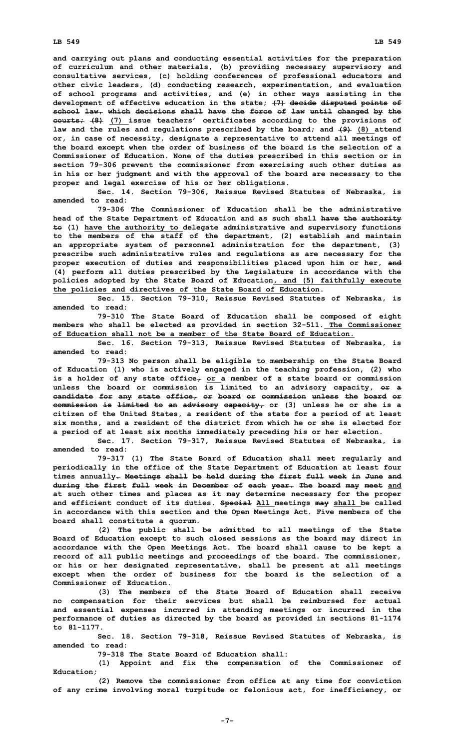**and carrying out plans and conducting essential activities for the preparation of curriculum and other materials, (b) providing necessary supervisory and consultative services, (c) holding conferences of professional educators and other civic leaders, (d) conducting research, experimentation, and evaluation of school programs and activities, and (e) in other ways assisting in the development of effective education in the state; (7) decide disputed points of school law, which decisions shall have the force of law until changed by the courts; (8) (7) issue teachers' certificates according to the provisions of law and the rules and regulations prescribed by the board; and (9) (8) attend or, in case of necessity, designate <sup>a</sup> representative to attend all meetings of the board except when the order of business of the board is the selection of <sup>a</sup> Commissioner of Education. None of the duties prescribed in this section or in section 79-306 prevent the commissioner from exercising such other duties as in his or her judgment and with the approval of the board are necessary to the proper and legal exercise of his or her obligations.**

**Sec. 14. Section 79-306, Reissue Revised Statutes of Nebraska, is amended to read:**

**79-306 The Commissioner of Education shall be the administrative head of the State Department of Education and as such shall have the authority to (1) have the authority to delegate administrative and supervisory functions to the members of the staff of the department, (2) establish and maintain an appropriate system of personnel administration for the department, (3) prescribe such administrative rules and regulations as are necessary for the proper execution of duties and responsibilities placed upon him or her, and (4) perform all duties prescribed by the Legislature in accordance with the policies adopted by the State Board of Education, and (5) faithfully execute the policies and directives of the State Board of Education.**

**Sec. 15. Section 79-310, Reissue Revised Statutes of Nebraska, is amended to read:**

**79-310 The State Board of Education shall be composed of eight members who shall be elected as provided in section 32-511. The Commissioner of Education shall not be a member of the State Board of Education.**

**Sec. 16. Section 79-313, Reissue Revised Statutes of Nebraska, is amended to read:**

**79-313 No person shall be eligible to membership on the State Board of Education (1) who is actively engaged in the teaching profession, (2) who is <sup>a</sup> holder of any state office, or <sup>a</sup> member of <sup>a</sup> state board or commission unless the board or commission is limited to an advisory capacity, or <sup>a</sup> candidate for any state office, or board or commission unless the board or commission is limited to an advisory capacity, or (3) unless he or she is <sup>a</sup> citizen of the United States, <sup>a</sup> resident of the state for <sup>a</sup> period of at least six months, and <sup>a</sup> resident of the district from which he or she is elected for <sup>a</sup> period of at least six months immediately preceding his or her election.**

**Sec. 17. Section 79-317, Reissue Revised Statutes of Nebraska, is amended to read:**

**79-317 (1) The State Board of Education shall meet regularly and periodically in the office of the State Department of Education at least four times annually. Meetings shall be held during the first full week in June and during the first full week in December of each year. The board may meet and at such other times and places as it may determine necessary for the proper and efficient conduct of its duties. Special All meetings may shall be called in accordance with this section and the Open Meetings Act. Five members of the board shall constitute <sup>a</sup> quorum.**

**(2) The public shall be admitted to all meetings of the State Board of Education except to such closed sessions as the board may direct in accordance with the Open Meetings Act. The board shall cause to be kept <sup>a</sup> record of all public meetings and proceedings of the board. The commissioner, or his or her designated representative, shall be present at all meetings except when the order of business for the board is the selection of <sup>a</sup> Commissioner of Education.**

**(3) The members of the State Board of Education shall receive no compensation for their services but shall be reimbursed for actual and essential expenses incurred in attending meetings or incurred in the performance of duties as directed by the board as provided in sections 81-1174 to 81-1177.**

**Sec. 18. Section 79-318, Reissue Revised Statutes of Nebraska, is amended to read:**

**79-318 The State Board of Education shall:**

**(1) Appoint and fix the compensation of the Commissioner of Education;**

**(2) Remove the commissioner from office at any time for conviction of any crime involving moral turpitude or felonious act, for inefficiency, or**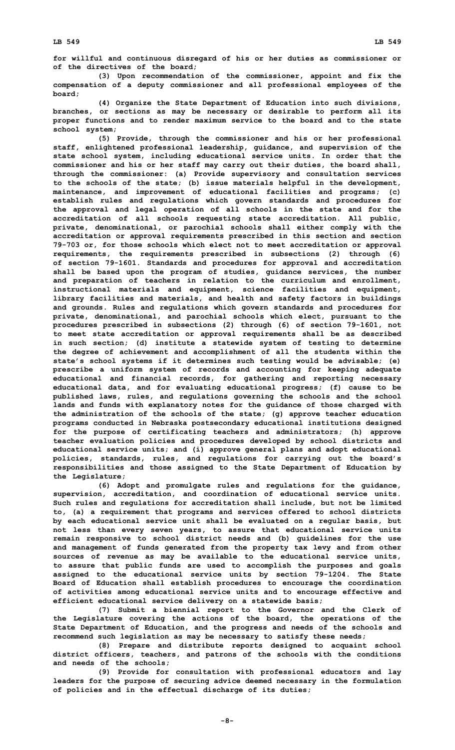**for willful and continuous disregard of his or her duties as commissioner or of the directives of the board;**

**(3) Upon recommendation of the commissioner, appoint and fix the compensation of <sup>a</sup> deputy commissioner and all professional employees of the board;**

**(4) Organize the State Department of Education into such divisions, branches, or sections as may be necessary or desirable to perform all its proper functions and to render maximum service to the board and to the state school system;**

**(5) Provide, through the commissioner and his or her professional staff, enlightened professional leadership, guidance, and supervision of the state school system, including educational service units. In order that the commissioner and his or her staff may carry out their duties, the board shall, through the commissioner: (a) Provide supervisory and consultation services to the schools of the state; (b) issue materials helpful in the development, maintenance, and improvement of educational facilities and programs; (c) establish rules and regulations which govern standards and procedures for the approval and legal operation of all schools in the state and for the accreditation of all schools requesting state accreditation. All public, private, denominational, or parochial schools shall either comply with the accreditation or approval requirements prescribed in this section and section 79-703 or, for those schools which elect not to meet accreditation or approval requirements, the requirements prescribed in subsections (2) through (6) of section 79-1601. Standards and procedures for approval and accreditation shall be based upon the program of studies, guidance services, the number and preparation of teachers in relation to the curriculum and enrollment, instructional materials and equipment, science facilities and equipment, library facilities and materials, and health and safety factors in buildings and grounds. Rules and regulations which govern standards and procedures for private, denominational, and parochial schools which elect, pursuant to the procedures prescribed in subsections (2) through (6) of section 79-1601, not to meet state accreditation or approval requirements shall be as described in such section; (d) institute <sup>a</sup> statewide system of testing to determine the degree of achievement and accomplishment of all the students within the state's school systems if it determines such testing would be advisable; (e) prescribe <sup>a</sup> uniform system of records and accounting for keeping adequate educational and financial records, for gathering and reporting necessary educational data, and for evaluating educational progress; (f) cause to be published laws, rules, and regulations governing the schools and the school lands and funds with explanatory notes for the guidance of those charged with the administration of the schools of the state; (g) approve teacher education programs conducted in Nebraska postsecondary educational institutions designed for the purpose of certificating teachers and administrators; (h) approve teacher evaluation policies and procedures developed by school districts and educational service units; and (i) approve general plans and adopt educational policies, standards, rules, and regulations for carrying out the board's responsibilities and those assigned to the State Department of Education by the Legislature;**

**(6) Adopt and promulgate rules and regulations for the guidance, supervision, accreditation, and coordination of educational service units. Such rules and regulations for accreditation shall include, but not be limited to, (a) <sup>a</sup> requirement that programs and services offered to school districts by each educational service unit shall be evaluated on <sup>a</sup> regular basis, but not less than every seven years, to assure that educational service units remain responsive to school district needs and (b) guidelines for the use and management of funds generated from the property tax levy and from other sources of revenue as may be available to the educational service units, to assure that public funds are used to accomplish the purposes and goals assigned to the educational service units by section 79-1204. The State Board of Education shall establish procedures to encourage the coordination of activities among educational service units and to encourage effective and efficient educational service delivery on <sup>a</sup> statewide basis;**

**(7) Submit <sup>a</sup> biennial report to the Governor and the Clerk of the Legislature covering the actions of the board, the operations of the State Department of Education, and the progress and needs of the schools and recommend such legislation as may be necessary to satisfy these needs;**

**(8) Prepare and distribute reports designed to acquaint school district officers, teachers, and patrons of the schools with the conditions and needs of the schools;**

**(9) Provide for consultation with professional educators and lay leaders for the purpose of securing advice deemed necessary in the formulation of policies and in the effectual discharge of its duties;**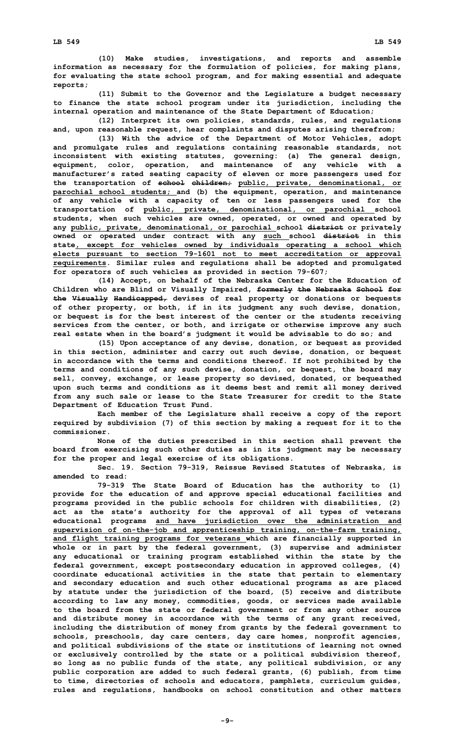**(10) Make studies, investigations, and reports and assemble information as necessary for the formulation of policies, for making plans, for evaluating the state school program, and for making essential and adequate reports;**

**(11) Submit to the Governor and the Legislature <sup>a</sup> budget necessary to finance the state school program under its jurisdiction, including the internal operation and maintenance of the State Department of Education;**

**(12) Interpret its own policies, standards, rules, and regulations and, upon reasonable request, hear complaints and disputes arising therefrom;**

**(13) With the advice of the Department of Motor Vehicles, adopt and promulgate rules and regulations containing reasonable standards, not inconsistent with existing statutes, governing: (a) The general design, equipment, color, operation, and maintenance of any vehicle with <sup>a</sup> manufacturer's rated seating capacity of eleven or more passengers used for the transportation of school children; public, private, denominational, or parochial school students; and (b) the equipment, operation, and maintenance of any vehicle with <sup>a</sup> capacity of ten or less passengers used for the transportation of public, private, denominational, or parochial school students, when such vehicles are owned, operated, or owned and operated by any public, private, denominational, or parochial school district or privately owned or operated under contract with any such school district in this state, except for vehicles owned by individuals operating <sup>a</sup> school which elects pursuant to section 79-1601 not to meet accreditation or approval requirements. Similar rules and regulations shall be adopted and promulgated for operators of such vehicles as provided in section 79-607;**

**(14) Accept, on behalf of the Nebraska Center for the Education of Children who are Blind or Visually Impaired, formerly the Nebraska School for the Visually Handicapped, devises of real property or donations or bequests of other property, or both, if in its judgment any such devise, donation, or bequest is for the best interest of the center or the students receiving services from the center, or both, and irrigate or otherwise improve any such real estate when in the board's judgment it would be advisable to do so; and**

**(15) Upon acceptance of any devise, donation, or bequest as provided in this section, administer and carry out such devise, donation, or bequest in accordance with the terms and conditions thereof. If not prohibited by the terms and conditions of any such devise, donation, or bequest, the board may sell, convey, exchange, or lease property so devised, donated, or bequeathed upon such terms and conditions as it deems best and remit all money derived from any such sale or lease to the State Treasurer for credit to the State Department of Education Trust Fund.**

**Each member of the Legislature shall receive <sup>a</sup> copy of the report required by subdivision (7) of this section by making <sup>a</sup> request for it to the commissioner.**

**None of the duties prescribed in this section shall prevent the board from exercising such other duties as in its judgment may be necessary for the proper and legal exercise of its obligations.**

**Sec. 19. Section 79-319, Reissue Revised Statutes of Nebraska, is amended to read:**

**79-319 The State Board of Education has the authority to (1) provide for the education of and approve special educational facilities and programs provided in the public schools for children with disabilities, (2) act as the state's authority for the approval of all types of veterans educational programs and have jurisdiction over the administration and supervision of on-the-job and apprenticeship training, on-the-farm training, and flight training programs for veterans which are financially supported in whole or in part by the federal government, (3) supervise and administer any educational or training program established within the state by the federal government, except postsecondary education in approved colleges, (4) coordinate educational activities in the state that pertain to elementary and secondary education and such other educational programs as are placed by statute under the jurisdiction of the board, (5) receive and distribute according to law any money, commodities, goods, or services made available to the board from the state or federal government or from any other source and distribute money in accordance with the terms of any grant received, including the distribution of money from grants by the federal government to schools, preschools, day care centers, day care homes, nonprofit agencies, and political subdivisions of the state or institutions of learning not owned or exclusively controlled by the state or <sup>a</sup> political subdivision thereof, so long as no public funds of the state, any political subdivision, or any public corporation are added to such federal grants, (6) publish, from time to time, directories of schools and educators, pamphlets, curriculum guides, rules and regulations, handbooks on school constitution and other matters**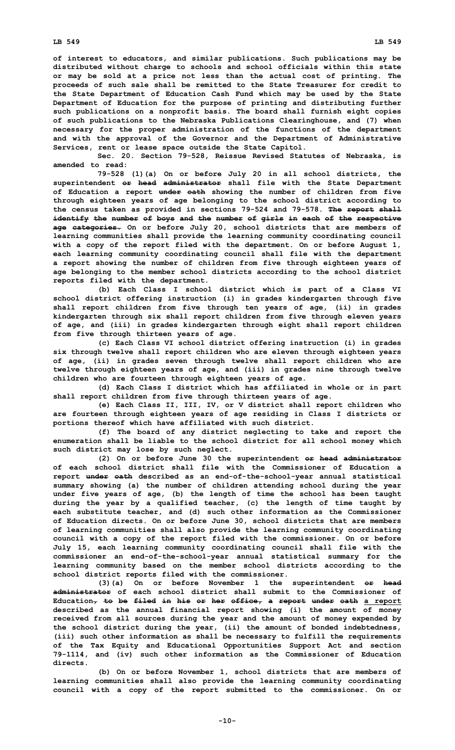**of interest to educators, and similar publications. Such publications may be distributed without charge to schools and school officials within this state or may be sold at <sup>a</sup> price not less than the actual cost of printing. The proceeds of such sale shall be remitted to the State Treasurer for credit to the State Department of Education Cash Fund which may be used by the State Department of Education for the purpose of printing and distributing further such publications on <sup>a</sup> nonprofit basis. The board shall furnish eight copies of such publications to the Nebraska Publications Clearinghouse, and (7) when necessary for the proper administration of the functions of the department and with the approval of the Governor and the Department of Administrative Services, rent or lease space outside the State Capitol.**

**Sec. 20. Section 79-528, Reissue Revised Statutes of Nebraska, is amended to read:**

**79-528 (1)(a) On or before July 20 in all school districts, the superintendent or head administrator shall file with the State Department of Education <sup>a</sup> report under oath showing the number of children from five through eighteen years of age belonging to the school district according to the census taken as provided in sections 79-524 and 79-578. The report shall identify the number of boys and the number of girls in each of the respective age categories. On or before July 20, school districts that are members of learning communities shall provide the learning community coordinating council with <sup>a</sup> copy of the report filed with the department. On or before August 1, each learning community coordinating council shall file with the department <sup>a</sup> report showing the number of children from five through eighteen years of age belonging to the member school districts according to the school district reports filed with the department.**

**(b) Each Class <sup>I</sup> school district which is part of <sup>a</sup> Class VI school district offering instruction (i) in grades kindergarten through five shall report children from five through ten years of age, (ii) in grades kindergarten through six shall report children from five through eleven years of age, and (iii) in grades kindergarten through eight shall report children from five through thirteen years of age.**

**(c) Each Class VI school district offering instruction (i) in grades six through twelve shall report children who are eleven through eighteen years of age, (ii) in grades seven through twelve shall report children who are twelve through eighteen years of age, and (iii) in grades nine through twelve children who are fourteen through eighteen years of age.**

**(d) Each Class <sup>I</sup> district which has affiliated in whole or in part shall report children from five through thirteen years of age.**

**(e) Each Class II, III, IV, or <sup>V</sup> district shall report children who are fourteen through eighteen years of age residing in Class I districts or portions thereof which have affiliated with such district.**

**(f) The board of any district neglecting to take and report the enumeration shall be liable to the school district for all school money which such district may lose by such neglect.**

**(2) On or before June 30 the superintendent or head administrator of each school district shall file with the Commissioner of Education a report under oath described as an end-of-the-school-year annual statistical summary showing (a) the number of children attending school during the year under five years of age, (b) the length of time the school has been taught during the year by <sup>a</sup> qualified teacher, (c) the length of time taught by each substitute teacher, and (d) such other information as the Commissioner of Education directs. On or before June 30, school districts that are members of learning communities shall also provide the learning community coordinating council with <sup>a</sup> copy of the report filed with the commissioner. On or before July 15, each learning community coordinating council shall file with the commissioner an end-of-the-school-year annual statistical summary for the learning community based on the member school districts according to the school district reports filed with the commissioner.**

**(3)(a) On or before November 1 the superintendent or head administrator of each school district shall submit to the Commissioner of Education, to be filed in his or her office, <sup>a</sup> report under oath <sup>a</sup> report described as the annual financial report showing (i) the amount of money received from all sources during the year and the amount of money expended by the school district during the year, (ii) the amount of bonded indebtedness, (iii) such other information as shall be necessary to fulfill the requirements of the Tax Equity and Educational Opportunities Support Act and section 79-1114, and (iv) such other information as the Commissioner of Education directs.**

**(b) On or before November 1, school districts that are members of learning communities shall also provide the learning community coordinating council with <sup>a</sup> copy of the report submitted to the commissioner. On or**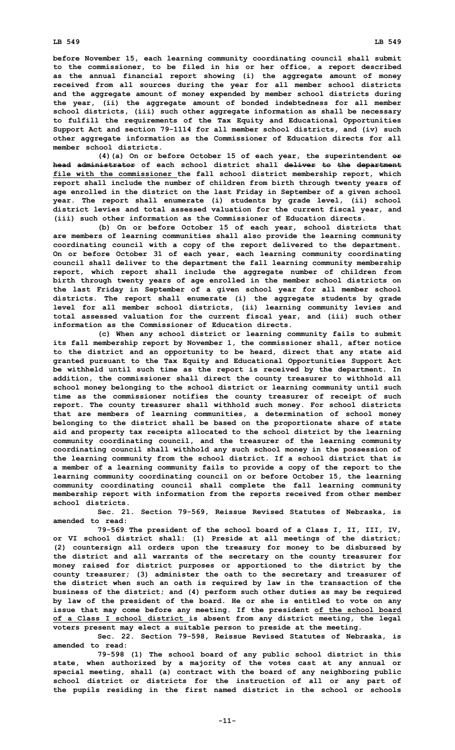**before November 15, each learning community coordinating council shall submit to the commissioner, to be filed in his or her office, <sup>a</sup> report described as the annual financial report showing (i) the aggregate amount of money received from all sources during the year for all member school districts and the aggregate amount of money expended by member school districts during the year, (ii) the aggregate amount of bonded indebtedness for all member school districts, (iii) such other aggregate information as shall be necessary to fulfill the requirements of the Tax Equity and Educational Opportunities Support Act and section 79-1114 for all member school districts, and (iv) such other aggregate information as the Commissioner of Education directs for all member school districts.**

**(4)(a) On or before October 15 of each year, the superintendent or head administrator of each school district shall deliver to the department file with the commissioner the fall school district membership report, which report shall include the number of children from birth through twenty years of age enrolled in the district on the last Friday in September of <sup>a</sup> given school year. The report shall enumerate (i) students by grade level, (ii) school district levies and total assessed valuation for the current fiscal year, and (iii) such other information as the Commissioner of Education directs.**

**(b) On or before October 15 of each year, school districts that are members of learning communities shall also provide the learning community coordinating council with <sup>a</sup> copy of the report delivered to the department. On or before October 31 of each year, each learning community coordinating council shall deliver to the department the fall learning community membership report, which report shall include the aggregate number of children from birth through twenty years of age enrolled in the member school districts on the last Friday in September of <sup>a</sup> given school year for all member school districts. The report shall enumerate (i) the aggregate students by grade level for all member school districts, (ii) learning community levies and total assessed valuation for the current fiscal year, and (iii) such other information as the Commissioner of Education directs.**

**(c) When any school district or learning community fails to submit its fall membership report by November 1, the commissioner shall, after notice to the district and an opportunity to be heard, direct that any state aid granted pursuant to the Tax Equity and Educational Opportunities Support Act be withheld until such time as the report is received by the department. In addition, the commissioner shall direct the county treasurer to withhold all school money belonging to the school district or learning community until such time as the commissioner notifies the county treasurer of receipt of such report. The county treasurer shall withhold such money. For school districts that are members of learning communities, <sup>a</sup> determination of school money belonging to the district shall be based on the proportionate share of state aid and property tax receipts allocated to the school district by the learning community coordinating council, and the treasurer of the learning community coordinating council shall withhold any such school money in the possession of the learning community from the school district. If <sup>a</sup> school district that is <sup>a</sup> member of <sup>a</sup> learning community fails to provide <sup>a</sup> copy of the report to the learning community coordinating council on or before October 15, the learning community coordinating council shall complete the fall learning community membership report with information from the reports received from other member school districts.**

**Sec. 21. Section 79-569, Reissue Revised Statutes of Nebraska, is amended to read:**

**79-569 The president of the school board of <sup>a</sup> Class I, II, III, IV, or VI school district shall: (1) Preside at all meetings of the district; (2) countersign all orders upon the treasury for money to be disbursed by the district and all warrants of the secretary on the county treasurer for money raised for district purposes or apportioned to the district by the county treasurer; (3) administer the oath to the secretary and treasurer of the district when such an oath is required by law in the transaction of the business of the district; and (4) perform such other duties as may be required by law of the president of the board. He or she is entitled to vote on any issue that may come before any meeting. If the president of the school board of <sup>a</sup> Class I school district is absent from any district meeting, the legal voters present may elect <sup>a</sup> suitable person to preside at the meeting.**

**Sec. 22. Section 79-598, Reissue Revised Statutes of Nebraska, is amended to read:**

**79-598 (1) The school board of any public school district in this state, when authorized by <sup>a</sup> majority of the votes cast at any annual or special meeting, shall (a) contract with the board of any neighboring public school district or districts for the instruction of all or any part of the pupils residing in the first named district in the school or schools**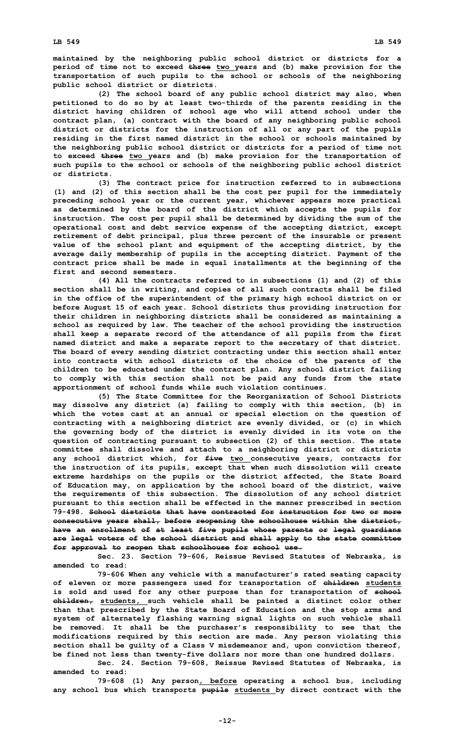**maintained by the neighboring public school district or districts for <sup>a</sup> period of time not to exceed three two years and (b) make provision for the transportation of such pupils to the school or schools of the neighboring public school district or districts.**

**(2) The school board of any public school district may also, when petitioned to do so by at least two-thirds of the parents residing in the district having children of school age who will attend school under the contract plan, (a) contract with the board of any neighboring public school district or districts for the instruction of all or any part of the pupils residing in the first named district in the school or schools maintained by the neighboring public school district or districts for <sup>a</sup> period of time not to exceed three two years and (b) make provision for the transportation of such pupils to the school or schools of the neighboring public school district or districts.**

**(3) The contract price for instruction referred to in subsections (1) and (2) of this section shall be the cost per pupil for the immediately preceding school year or the current year, whichever appears more practical as determined by the board of the district which accepts the pupils for instruction. The cost per pupil shall be determined by dividing the sum of the operational cost and debt service expense of the accepting district, except retirement of debt principal, plus three percent of the insurable or present value of the school plant and equipment of the accepting district, by the average daily membership of pupils in the accepting district. Payment of the contract price shall be made in equal installments at the beginning of the first and second semesters.**

**(4) All the contracts referred to in subsections (1) and (2) of this section shall be in writing, and copies of all such contracts shall be filed in the office of the superintendent of the primary high school district on or before August 15 of each year. School districts thus providing instruction for their children in neighboring districts shall be considered as maintaining <sup>a</sup> school as required by law. The teacher of the school providing the instruction shall keep <sup>a</sup> separate record of the attendance of all pupils from the first named district and make <sup>a</sup> separate report to the secretary of that district. The board of every sending district contracting under this section shall enter into contracts with school districts of the choice of the parents of the children to be educated under the contract plan. Any school district failing to comply with this section shall not be paid any funds from the state apportionment of school funds while such violation continues.**

**(5) The State Committee for the Reorganization of School Districts may dissolve any district (a) failing to comply with this section, (b) in which the votes cast at an annual or special election on the question of contracting with <sup>a</sup> neighboring district are evenly divided, or (c) in which the governing body of the district is evenly divided in its vote on the question of contracting pursuant to subsection (2) of this section. The state committee shall dissolve and attach to <sup>a</sup> neighboring district or districts any school district which, for five two consecutive years, contracts for the instruction of its pupils, except that when such dissolution will create extreme hardships on the pupils or the district affected, the State Board of Education may, on application by the school board of the district, waive the requirements of this subsection. The dissolution of any school district pursuant to this section shall be effected in the manner prescribed in section 79-498. School districts that have contracted for instruction for two or more consecutive years shall, before reopening the schoolhouse within the district, have an enrollment of at least five pupils whose parents or legal guardians are legal voters of the school district and shall apply to the state committee for approval to reopen that schoolhouse for school use.**

**Sec. 23. Section 79-606, Reissue Revised Statutes of Nebraska, is amended to read:**

**79-606 When any vehicle with <sup>a</sup> manufacturer's rated seating capacity of eleven or more passengers used for transportation of children students is sold and used for any other purpose than for transportation of school children, students, such vehicle shall be painted <sup>a</sup> distinct color other than that prescribed by the State Board of Education and the stop arms and system of alternately flashing warning signal lights on such vehicle shall be removed. It shall be the purchaser's responsibility to see that the modifications required by this section are made. Any person violating this section shall be guilty of <sup>a</sup> Class V misdemeanor and, upon conviction thereof, be fined not less than twenty-five dollars nor more than one hundred dollars.**

**Sec. 24. Section 79-608, Reissue Revised Statutes of Nebraska, is amended to read:**

**79-608 (1) Any person, before operating <sup>a</sup> school bus, including any school bus which transports pupils students by direct contract with the**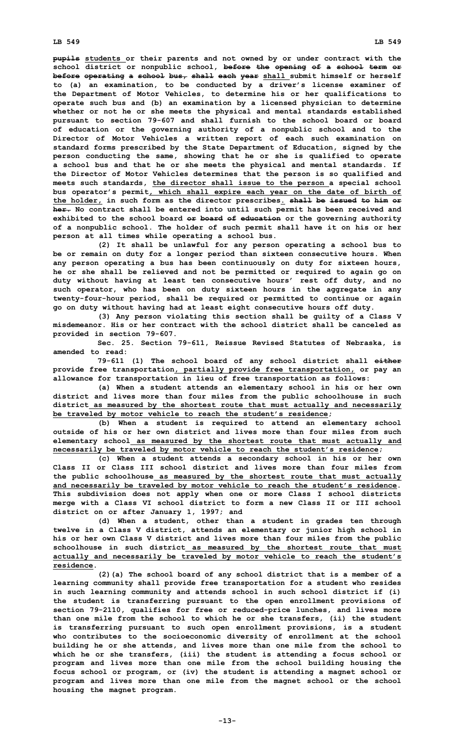**pupils students or their parents and not owned by or under contract with the school district or nonpublic school, before the opening of <sup>a</sup> school term or before operating <sup>a</sup> school bus, shall each year shall submit himself or herself to (a) an examination, to be conducted by <sup>a</sup> driver's license examiner of the Department of Motor Vehicles, to determine his or her qualifications to operate such bus and (b) an examination by <sup>a</sup> licensed physician to determine whether or not he or she meets the physical and mental standards established pursuant to section 79-607 and shall furnish to the school board or board of education or the governing authority of <sup>a</sup> nonpublic school and to the Director of Motor Vehicles <sup>a</sup> written report of each such examination on standard forms prescribed by the State Department of Education, signed by the person conducting the same, showing that he or she is qualified to operate <sup>a</sup> school bus and that he or she meets the physical and mental standards. If the Director of Motor Vehicles determines that the person is so qualified and meets such standards, the director shall issue to the person <sup>a</sup> special school bus operator's permit, which shall expire each year on the date of birth of the holder, in such form as the director prescribes. shall be issued to him or her. No contract shall be entered into until such permit has been received and exhibited to the school board or board of education or the governing authority of <sup>a</sup> nonpublic school. The holder of such permit shall have it on his or her person at all times while operating <sup>a</sup> school bus.**

**(2) It shall be unlawful for any person operating <sup>a</sup> school bus to be or remain on duty for <sup>a</sup> longer period than sixteen consecutive hours. When any person operating <sup>a</sup> bus has been continuously on duty for sixteen hours, he or she shall be relieved and not be permitted or required to again go on duty without having at least ten consecutive hours' rest off duty, and no such operator, who has been on duty sixteen hours in the aggregate in any twenty-four-hour period, shall be required or permitted to continue or again go on duty without having had at least eight consecutive hours off duty.**

**(3) Any person violating this section shall be guilty of <sup>a</sup> Class <sup>V</sup> misdemeanor. His or her contract with the school district shall be canceled as provided in section 79-607.**

**Sec. 25. Section 79-611, Reissue Revised Statutes of Nebraska, is amended to read:**

**79-611 (1) The school board of any school district shall either provide free transportation, partially provide free transportation, or pay an allowance for transportation in lieu of free transportation as follows:**

**(a) When <sup>a</sup> student attends an elementary school in his or her own district and lives more than four miles from the public schoolhouse in such district as measured by the shortest route that must actually and necessarily be traveled by motor vehicle to reach the student's residence;**

**(b) When <sup>a</sup> student is required to attend an elementary school outside of his or her own district and lives more than four miles from such elementary school as measured by the shortest route that must actually and necessarily be traveled by motor vehicle to reach the student's residence;**

**(c) When <sup>a</sup> student attends <sup>a</sup> secondary school in his or her own Class II or Class III school district and lives more than four miles from the public schoolhouse as measured by the shortest route that must actually and necessarily be traveled by motor vehicle to reach the student's residence. This subdivision does not apply when one or more Class I school districts merge with <sup>a</sup> Class VI school district to form <sup>a</sup> new Class II or III school district on or after January 1, 1997; and**

**(d) When <sup>a</sup> student, other than <sup>a</sup> student in grades ten through twelve in <sup>a</sup> Class V district, attends an elementary or junior high school in his or her own Class V district and lives more than four miles from the public schoolhouse in such district as measured by the shortest route that must actually and necessarily be traveled by motor vehicle to reach the student's residence.**

**(2)(a) The school board of any school district that is <sup>a</sup> member of <sup>a</sup> learning community shall provide free transportation for <sup>a</sup> student who resides in such learning community and attends school in such school district if (i) the student is transferring pursuant to the open enrollment provisions of section 79-2110, qualifies for free or reduced-price lunches, and lives more than one mile from the school to which he or she transfers, (ii) the student is transferring pursuant to such open enrollment provisions, is <sup>a</sup> student who contributes to the socioeconomic diversity of enrollment at the school building he or she attends, and lives more than one mile from the school to which he or she transfers, (iii) the student is attending <sup>a</sup> focus school or program and lives more than one mile from the school building housing the focus school or program, or (iv) the student is attending <sup>a</sup> magnet school or program and lives more than one mile from the magnet school or the school housing the magnet program.**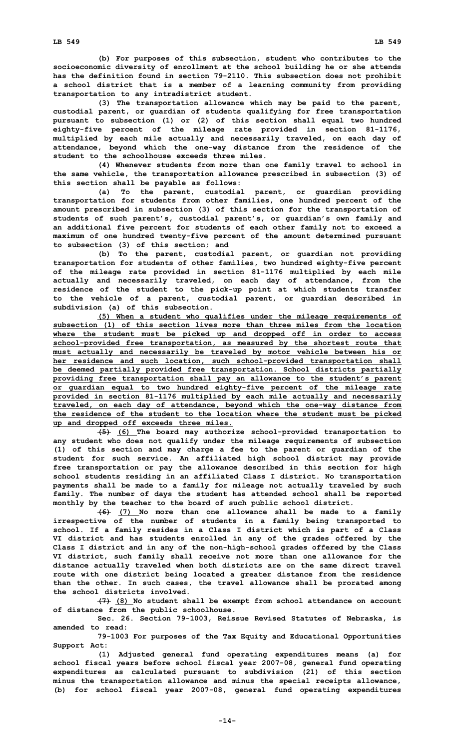**(b) For purposes of this subsection, student who contributes to the socioeconomic diversity of enrollment at the school building he or she attends has the definition found in section 79-2110. This subsection does not prohibit <sup>a</sup> school district that is <sup>a</sup> member of <sup>a</sup> learning community from providing transportation to any intradistrict student.**

**(3) The transportation allowance which may be paid to the parent, custodial parent, or guardian of students qualifying for free transportation pursuant to subsection (1) or (2) of this section shall equal two hundred eighty-five percent of the mileage rate provided in section 81-1176, multiplied by each mile actually and necessarily traveled, on each day of attendance, beyond which the one-way distance from the residence of the student to the schoolhouse exceeds three miles.**

**(4) Whenever students from more than one family travel to school in the same vehicle, the transportation allowance prescribed in subsection (3) of this section shall be payable as follows:**

**(a) To the parent, custodial parent, or guardian providing transportation for students from other families, one hundred percent of the amount prescribed in subsection (3) of this section for the transportation of students of such parent's, custodial parent's, or guardian's own family and an additional five percent for students of each other family not to exceed <sup>a</sup> maximum of one hundred twenty-five percent of the amount determined pursuant to subsection (3) of this section; and**

**(b) To the parent, custodial parent, or guardian not providing transportation for students of other families, two hundred eighty-five percent of the mileage rate provided in section 81-1176 multiplied by each mile actually and necessarily traveled, on each day of attendance, from the residence of the student to the pick-up point at which students transfer to the vehicle of <sup>a</sup> parent, custodial parent, or guardian described in subdivision (a) of this subsection.**

**(5) When <sup>a</sup> student who qualifies under the mileage requirements of subsection (1) of this section lives more than three miles from the location where the student must be picked up and dropped off in order to access school-provided free transportation, as measured by the shortest route that must actually and necessarily be traveled by motor vehicle between his or her residence and such location, such school-provided transportation shall be deemed partially provided free transportation. School districts partially providing free transportation shall pay an allowance to the student's parent or guardian equal to two hundred eighty-five percent of the mileage rate provided in section 81-1176 multiplied by each mile actually and necessarily traveled, on each day of attendance, beyond which the one-way distance from the residence of the student to the location where the student must be picked up and dropped off exceeds three miles.**

**(5) (6) The board may authorize school-provided transportation to any student who does not qualify under the mileage requirements of subsection (1) of this section and may charge <sup>a</sup> fee to the parent or guardian of the student for such service. An affiliated high school district may provide free transportation or pay the allowance described in this section for high school students residing in an affiliated Class I district. No transportation payments shall be made to <sup>a</sup> family for mileage not actually traveled by such family. The number of days the student has attended school shall be reported monthly by the teacher to the board of such public school district.**

**(6) (7) No more than one allowance shall be made to <sup>a</sup> family irrespective of the number of students in <sup>a</sup> family being transported to school. If <sup>a</sup> family resides in <sup>a</sup> Class I district which is part of <sup>a</sup> Class VI district and has students enrolled in any of the grades offered by the Class I district and in any of the non-high-school grades offered by the Class VI district, such family shall receive not more than one allowance for the distance actually traveled when both districts are on the same direct travel route with one district being located <sup>a</sup> greater distance from the residence than the other. In such cases, the travel allowance shall be prorated among the school districts involved.**

**(7) (8) No student shall be exempt from school attendance on account of distance from the public schoolhouse.**

**Sec. 26. Section 79-1003, Reissue Revised Statutes of Nebraska, is amended to read:**

**79-1003 For purposes of the Tax Equity and Educational Opportunities Support Act:**

**(1) Adjusted general fund operating expenditures means (a) for school fiscal years before school fiscal year 2007-08, general fund operating expenditures as calculated pursuant to subdivision (21) of this section minus the transportation allowance and minus the special receipts allowance, (b) for school fiscal year 2007-08, general fund operating expenditures**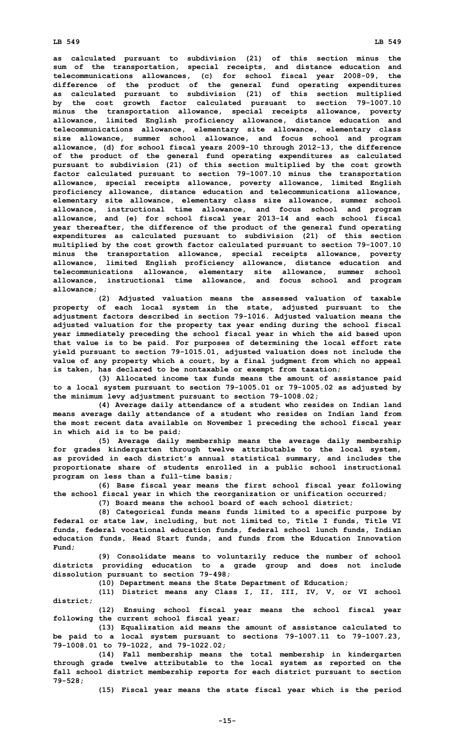## **LB 549 LB 549**

**as calculated pursuant to subdivision (21) of this section minus the sum of the transportation, special receipts, and distance education and telecommunications allowances, (c) for school fiscal year 2008-09, the difference of the product of the general fund operating expenditures as calculated pursuant to subdivision (21) of this section multiplied by the cost growth factor calculated pursuant to section 79-1007.10 minus the transportation allowance, special receipts allowance, poverty allowance, limited English proficiency allowance, distance education and telecommunications allowance, elementary site allowance, elementary class size allowance, summer school allowance, and focus school and program allowance, (d) for school fiscal years 2009-10 through 2012-13, the difference of the product of the general fund operating expenditures as calculated pursuant to subdivision (21) of this section multiplied by the cost growth factor calculated pursuant to section 79-1007.10 minus the transportation allowance, special receipts allowance, poverty allowance, limited English proficiency allowance, distance education and telecommunications allowance, elementary site allowance, elementary class size allowance, summer school allowance, instructional time allowance, and focus school and program allowance, and (e) for school fiscal year 2013-14 and each school fiscal year thereafter, the difference of the product of the general fund operating expenditures as calculated pursuant to subdivision (21) of this section multiplied by the cost growth factor calculated pursuant to section 79-1007.10 minus the transportation allowance, special receipts allowance, poverty allowance, limited English proficiency allowance, distance education and telecommunications allowance, elementary site allowance, summer school allowance, instructional time allowance, and focus school and program allowance;**

**(2) Adjusted valuation means the assessed valuation of taxable property of each local system in the state, adjusted pursuant to the adjustment factors described in section 79-1016. Adjusted valuation means the adjusted valuation for the property tax year ending during the school fiscal year immediately preceding the school fiscal year in which the aid based upon that value is to be paid. For purposes of determining the local effort rate yield pursuant to section 79-1015.01, adjusted valuation does not include the value of any property which <sup>a</sup> court, by <sup>a</sup> final judgment from which no appeal is taken, has declared to be nontaxable or exempt from taxation;**

**(3) Allocated income tax funds means the amount of assistance paid to <sup>a</sup> local system pursuant to section 79-1005.01 or 79-1005.02 as adjusted by the minimum levy adjustment pursuant to section 79-1008.02;**

**(4) Average daily attendance of <sup>a</sup> student who resides on Indian land means average daily attendance of <sup>a</sup> student who resides on Indian land from the most recent data available on November 1 preceding the school fiscal year in which aid is to be paid;**

**(5) Average daily membership means the average daily membership for grades kindergarten through twelve attributable to the local system, as provided in each district's annual statistical summary, and includes the proportionate share of students enrolled in <sup>a</sup> public school instructional program on less than <sup>a</sup> full-time basis;**

**(6) Base fiscal year means the first school fiscal year following the school fiscal year in which the reorganization or unification occurred;**

**(7) Board means the school board of each school district;**

**(8) Categorical funds means funds limited to <sup>a</sup> specific purpose by federal or state law, including, but not limited to, Title I funds, Title VI funds, federal vocational education funds, federal school lunch funds, Indian education funds, Head Start funds, and funds from the Education Innovation Fund;**

**(9) Consolidate means to voluntarily reduce the number of school districts providing education to <sup>a</sup> grade group and does not include dissolution pursuant to section 79-498;**

**(10) Department means the State Department of Education;**

**(11) District means any Class I, II, III, IV, V, or VI school district;**

**(12) Ensuing school fiscal year means the school fiscal year following the current school fiscal year;**

**(13) Equalization aid means the amount of assistance calculated to be paid to <sup>a</sup> local system pursuant to sections 79-1007.11 to 79-1007.23, 79-1008.01 to 79-1022, and 79-1022.02;**

**(14) Fall membership means the total membership in kindergarten through grade twelve attributable to the local system as reported on the fall school district membership reports for each district pursuant to section 79-528;**

**(15) Fiscal year means the state fiscal year which is the period**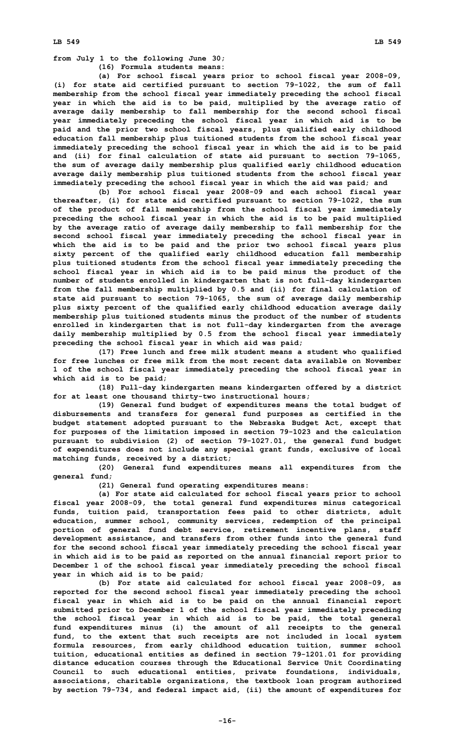**from July 1 to the following June 30; (16) Formula students means:**

**(a) For school fiscal years prior to school fiscal year 2008-09, (i) for state aid certified pursuant to section 79-1022, the sum of fall membership from the school fiscal year immediately preceding the school fiscal year in which the aid is to be paid, multiplied by the average ratio of average daily membership to fall membership for the second school fiscal year immediately preceding the school fiscal year in which aid is to be paid and the prior two school fiscal years, plus qualified early childhood education fall membership plus tuitioned students from the school fiscal year immediately preceding the school fiscal year in which the aid is to be paid and (ii) for final calculation of state aid pursuant to section 79-1065, the sum of average daily membership plus qualified early childhood education average daily membership plus tuitioned students from the school fiscal year immediately preceding the school fiscal year in which the aid was paid; and**

**(b) For school fiscal year 2008-09 and each school fiscal year thereafter, (i) for state aid certified pursuant to section 79-1022, the sum of the product of fall membership from the school fiscal year immediately preceding the school fiscal year in which the aid is to be paid multiplied by the average ratio of average daily membership to fall membership for the second school fiscal year immediately preceding the school fiscal year in which the aid is to be paid and the prior two school fiscal years plus sixty percent of the qualified early childhood education fall membership plus tuitioned students from the school fiscal year immediately preceding the school fiscal year in which aid is to be paid minus the product of the number of students enrolled in kindergarten that is not full-day kindergarten from the fall membership multiplied by 0.5 and (ii) for final calculation of state aid pursuant to section 79-1065, the sum of average daily membership plus sixty percent of the qualified early childhood education average daily membership plus tuitioned students minus the product of the number of students enrolled in kindergarten that is not full-day kindergarten from the average daily membership multiplied by 0.5 from the school fiscal year immediately preceding the school fiscal year in which aid was paid;**

**(17) Free lunch and free milk student means <sup>a</sup> student who qualified for free lunches or free milk from the most recent data available on November 1 of the school fiscal year immediately preceding the school fiscal year in which aid is to be paid;**

**(18) Full-day kindergarten means kindergarten offered by <sup>a</sup> district for at least one thousand thirty-two instructional hours;**

**(19) General fund budget of expenditures means the total budget of disbursements and transfers for general fund purposes as certified in the budget statement adopted pursuant to the Nebraska Budget Act, except that for purposes of the limitation imposed in section 79-1023 and the calculation pursuant to subdivision (2) of section 79-1027.01, the general fund budget of expenditures does not include any special grant funds, exclusive of local matching funds, received by <sup>a</sup> district;**

**(20) General fund expenditures means all expenditures from the general fund;**

**(21) General fund operating expenditures means:**

**(a) For state aid calculated for school fiscal years prior to school fiscal year 2008-09, the total general fund expenditures minus categorical funds, tuition paid, transportation fees paid to other districts, adult education, summer school, community services, redemption of the principal portion of general fund debt service, retirement incentive plans, staff development assistance, and transfers from other funds into the general fund for the second school fiscal year immediately preceding the school fiscal year in which aid is to be paid as reported on the annual financial report prior to December 1 of the school fiscal year immediately preceding the school fiscal year in which aid is to be paid;**

**(b) For state aid calculated for school fiscal year 2008-09, as reported for the second school fiscal year immediately preceding the school fiscal year in which aid is to be paid on the annual financial report submitted prior to December 1 of the school fiscal year immediately preceding the school fiscal year in which aid is to be paid, the total general fund expenditures minus (i) the amount of all receipts to the general fund, to the extent that such receipts are not included in local system formula resources, from early childhood education tuition, summer school tuition, educational entities as defined in section 79-1201.01 for providing distance education courses through the Educational Service Unit Coordinating Council to such educational entities, private foundations, individuals, associations, charitable organizations, the textbook loan program authorized by section 79-734, and federal impact aid, (ii) the amount of expenditures for**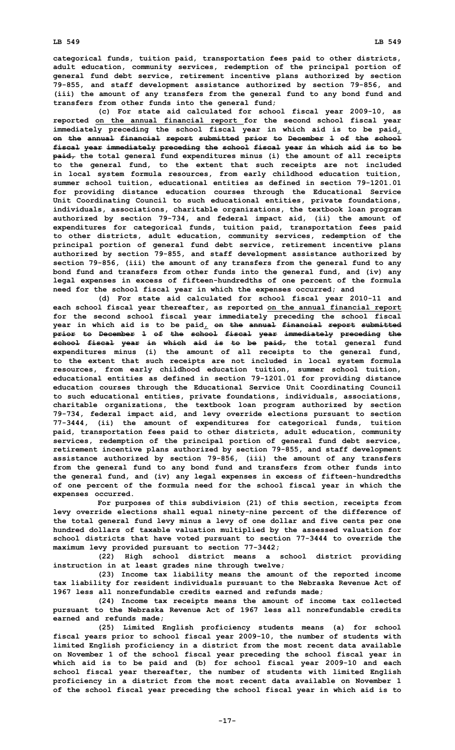**categorical funds, tuition paid, transportation fees paid to other districts, adult education, community services, redemption of the principal portion of general fund debt service, retirement incentive plans authorized by section 79-855, and staff development assistance authorized by section 79-856, and (iii) the amount of any transfers from the general fund to any bond fund and transfers from other funds into the general fund;**

**(c) For state aid calculated for school fiscal year 2009-10, as reported on the annual financial report for the second school fiscal year immediately preceding the school fiscal year in which aid is to be paid, on the annual financial report submitted prior to December 1 of the school fiscal year immediately preceding the school fiscal year in which aid is to be paid, the total general fund expenditures minus (i) the amount of all receipts to the general fund, to the extent that such receipts are not included in local system formula resources, from early childhood education tuition, summer school tuition, educational entities as defined in section 79-1201.01 for providing distance education courses through the Educational Service Unit Coordinating Council to such educational entities, private foundations, individuals, associations, charitable organizations, the textbook loan program authorized by section 79-734, and federal impact aid, (ii) the amount of expenditures for categorical funds, tuition paid, transportation fees paid to other districts, adult education, community services, redemption of the principal portion of general fund debt service, retirement incentive plans authorized by section 79-855, and staff development assistance authorized by section 79-856, (iii) the amount of any transfers from the general fund to any bond fund and transfers from other funds into the general fund, and (iv) any legal expenses in excess of fifteen-hundredths of one percent of the formula need for the school fiscal year in which the expenses occurred; and**

**(d) For state aid calculated for school fiscal year 2010-11 and each school fiscal year thereafter, as reported on the annual financial report for the second school fiscal year immediately preceding the school fiscal year in which aid is to be paid, on the annual financial report submitted prior to December 1 of the school fiscal year immediately preceding the school fiscal year in which aid is to be paid, the total general fund expenditures minus (i) the amount of all receipts to the general fund, to the extent that such receipts are not included in local system formula resources, from early childhood education tuition, summer school tuition, educational entities as defined in section 79-1201.01 for providing distance education courses through the Educational Service Unit Coordinating Council to such educational entities, private foundations, individuals, associations, charitable organizations, the textbook loan program authorized by section 79-734, federal impact aid, and levy override elections pursuant to section 77-3444, (ii) the amount of expenditures for categorical funds, tuition paid, transportation fees paid to other districts, adult education, community services, redemption of the principal portion of general fund debt service, retirement incentive plans authorized by section 79-855, and staff development assistance authorized by section 79-856, (iii) the amount of any transfers from the general fund to any bond fund and transfers from other funds into the general fund, and (iv) any legal expenses in excess of fifteen-hundredths of one percent of the formula need for the school fiscal year in which the expenses occurred.**

**For purposes of this subdivision (21) of this section, receipts from levy override elections shall equal ninety-nine percent of the difference of the total general fund levy minus <sup>a</sup> levy of one dollar and five cents per one hundred dollars of taxable valuation multiplied by the assessed valuation for school districts that have voted pursuant to section 77-3444 to override the maximum levy provided pursuant to section 77-3442;**

**(22) High school district means <sup>a</sup> school district providing instruction in at least grades nine through twelve;**

**(23) Income tax liability means the amount of the reported income tax liability for resident individuals pursuant to the Nebraska Revenue Act of 1967 less all nonrefundable credits earned and refunds made;**

**(24) Income tax receipts means the amount of income tax collected pursuant to the Nebraska Revenue Act of 1967 less all nonrefundable credits earned and refunds made;**

**(25) Limited English proficiency students means (a) for school fiscal years prior to school fiscal year 2009-10, the number of students with limited English proficiency in <sup>a</sup> district from the most recent data available on November 1 of the school fiscal year preceding the school fiscal year in which aid is to be paid and (b) for school fiscal year 2009-10 and each school fiscal year thereafter, the number of students with limited English proficiency in <sup>a</sup> district from the most recent data available on November 1 of the school fiscal year preceding the school fiscal year in which aid is to**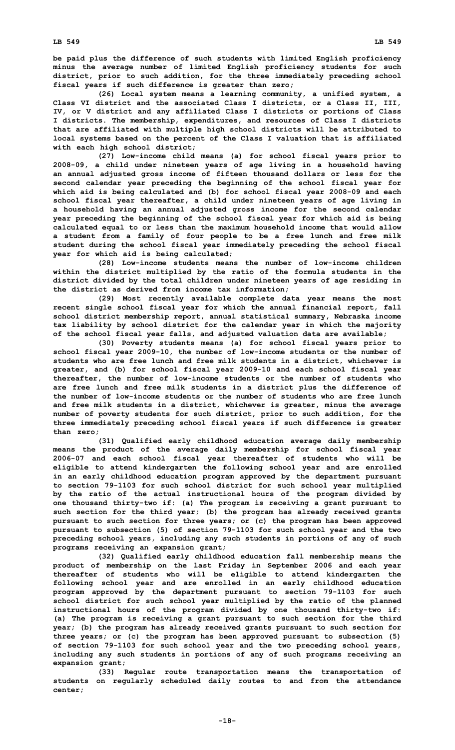**be paid plus the difference of such students with limited English proficiency minus the average number of limited English proficiency students for such district, prior to such addition, for the three immediately preceding school fiscal years if such difference is greater than zero;**

**(26) Local system means <sup>a</sup> learning community, <sup>a</sup> unified system, <sup>a</sup> Class VI district and the associated Class I districts, or <sup>a</sup> Class II, III, IV, or V district and any affiliated Class I districts or portions of Class I districts. The membership, expenditures, and resources of Class I districts that are affiliated with multiple high school districts will be attributed to local systems based on the percent of the Class I valuation that is affiliated with each high school district;**

**(27) Low-income child means (a) for school fiscal years prior to 2008-09, <sup>a</sup> child under nineteen years of age living in <sup>a</sup> household having an annual adjusted gross income of fifteen thousand dollars or less for the second calendar year preceding the beginning of the school fiscal year for which aid is being calculated and (b) for school fiscal year 2008-09 and each school fiscal year thereafter, <sup>a</sup> child under nineteen years of age living in <sup>a</sup> household having an annual adjusted gross income for the second calendar year preceding the beginning of the school fiscal year for which aid is being calculated equal to or less than the maximum household income that would allow <sup>a</sup> student from <sup>a</sup> family of four people to be <sup>a</sup> free lunch and free milk student during the school fiscal year immediately preceding the school fiscal year for which aid is being calculated;**

**(28) Low-income students means the number of low-income children within the district multiplied by the ratio of the formula students in the district divided by the total children under nineteen years of age residing in the district as derived from income tax information;**

**(29) Most recently available complete data year means the most recent single school fiscal year for which the annual financial report, fall school district membership report, annual statistical summary, Nebraska income tax liability by school district for the calendar year in which the majority of the school fiscal year falls, and adjusted valuation data are available;**

**(30) Poverty students means (a) for school fiscal years prior to school fiscal year 2009-10, the number of low-income students or the number of students who are free lunch and free milk students in <sup>a</sup> district, whichever is greater, and (b) for school fiscal year 2009-10 and each school fiscal year thereafter, the number of low-income students or the number of students who are free lunch and free milk students in <sup>a</sup> district plus the difference of the number of low-income students or the number of students who are free lunch and free milk students in <sup>a</sup> district, whichever is greater, minus the average number of poverty students for such district, prior to such addition, for the three immediately preceding school fiscal years if such difference is greater than zero;**

**(31) Qualified early childhood education average daily membership means the product of the average daily membership for school fiscal year 2006-07 and each school fiscal year thereafter of students who will be eligible to attend kindergarten the following school year and are enrolled in an early childhood education program approved by the department pursuant to section 79-1103 for such school district for such school year multiplied by the ratio of the actual instructional hours of the program divided by one thousand thirty-two if: (a) The program is receiving <sup>a</sup> grant pursuant to such section for the third year; (b) the program has already received grants pursuant to such section for three years; or (c) the program has been approved pursuant to subsection (5) of section 79-1103 for such school year and the two preceding school years, including any such students in portions of any of such programs receiving an expansion grant;**

**(32) Qualified early childhood education fall membership means the product of membership on the last Friday in September 2006 and each year thereafter of students who will be eligible to attend kindergarten the following school year and are enrolled in an early childhood education program approved by the department pursuant to section 79-1103 for such school district for such school year multiplied by the ratio of the planned instructional hours of the program divided by one thousand thirty-two if: (a) The program is receiving <sup>a</sup> grant pursuant to such section for the third year; (b) the program has already received grants pursuant to such section for three years; or (c) the program has been approved pursuant to subsection (5) of section 79-1103 for such school year and the two preceding school years, including any such students in portions of any of such programs receiving an expansion grant;**

**(33) Regular route transportation means the transportation of students on regularly scheduled daily routes to and from the attendance center;**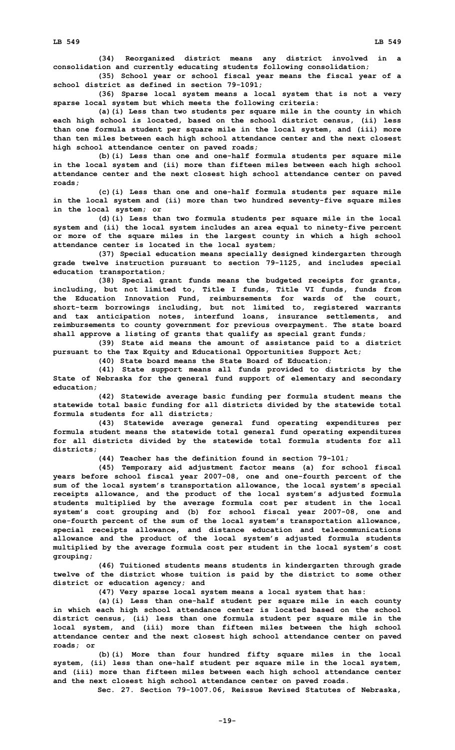**(34) Reorganized district means any district involved in <sup>a</sup> consolidation and currently educating students following consolidation;**

**(35) School year or school fiscal year means the fiscal year of <sup>a</sup> school district as defined in section 79-1091;**

**(36) Sparse local system means <sup>a</sup> local system that is not <sup>a</sup> very sparse local system but which meets the following criteria:**

**(a)(i) Less than two students per square mile in the county in which each high school is located, based on the school district census, (ii) less than one formula student per square mile in the local system, and (iii) more than ten miles between each high school attendance center and the next closest high school attendance center on paved roads;**

**(b)(i) Less than one and one-half formula students per square mile in the local system and (ii) more than fifteen miles between each high school attendance center and the next closest high school attendance center on paved roads;**

**(c)(i) Less than one and one-half formula students per square mile in the local system and (ii) more than two hundred seventy-five square miles in the local system; or**

**(d)(i) Less than two formula students per square mile in the local system and (ii) the local system includes an area equal to ninety-five percent or more of the square miles in the largest county in which <sup>a</sup> high school attendance center is located in the local system;**

**(37) Special education means specially designed kindergarten through grade twelve instruction pursuant to section 79-1125, and includes special education transportation;**

**(38) Special grant funds means the budgeted receipts for grants, including, but not limited to, Title I funds, Title VI funds, funds from the Education Innovation Fund, reimbursements for wards of the court, short-term borrowings including, but not limited to, registered warrants and tax anticipation notes, interfund loans, insurance settlements, and reimbursements to county government for previous overpayment. The state board shall approve <sup>a</sup> listing of grants that qualify as special grant funds;**

**(39) State aid means the amount of assistance paid to <sup>a</sup> district pursuant to the Tax Equity and Educational Opportunities Support Act;**

**(40) State board means the State Board of Education;**

**(41) State support means all funds provided to districts by the State of Nebraska for the general fund support of elementary and secondary education;**

**(42) Statewide average basic funding per formula student means the statewide total basic funding for all districts divided by the statewide total formula students for all districts;**

**(43) Statewide average general fund operating expenditures per formula student means the statewide total general fund operating expenditures for all districts divided by the statewide total formula students for all districts;**

**(44) Teacher has the definition found in section 79-101;**

**(45) Temporary aid adjustment factor means (a) for school fiscal years before school fiscal year 2007-08, one and one-fourth percent of the sum of the local system's transportation allowance, the local system's special receipts allowance, and the product of the local system's adjusted formula students multiplied by the average formula cost per student in the local system's cost grouping and (b) for school fiscal year 2007-08, one and one-fourth percent of the sum of the local system's transportation allowance, special receipts allowance, and distance education and telecommunications allowance and the product of the local system's adjusted formula students multiplied by the average formula cost per student in the local system's cost grouping;**

**(46) Tuitioned students means students in kindergarten through grade twelve of the district whose tuition is paid by the district to some other district or education agency; and**

**(47) Very sparse local system means <sup>a</sup> local system that has:**

**(a)(i) Less than one-half student per square mile in each county in which each high school attendance center is located based on the school district census, (ii) less than one formula student per square mile in the local system, and (iii) more than fifteen miles between the high school attendance center and the next closest high school attendance center on paved roads; or**

**(b)(i) More than four hundred fifty square miles in the local system, (ii) less than one-half student per square mile in the local system, and (iii) more than fifteen miles between each high school attendance center and the next closest high school attendance center on paved roads.**

**Sec. 27. Section 79-1007.06, Reissue Revised Statutes of Nebraska,**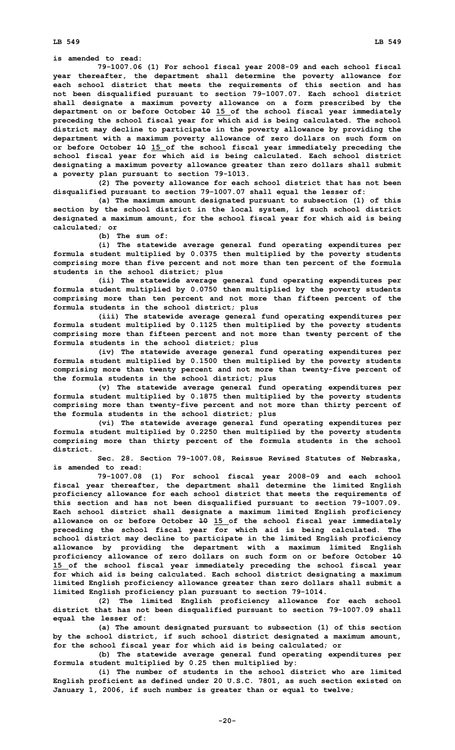**LB 549 LB 549**

**is amended to read:**

**79-1007.06 (1) For school fiscal year 2008-09 and each school fiscal year thereafter, the department shall determine the poverty allowance for each school district that meets the requirements of this section and has not been disqualified pursuant to section 79-1007.07. Each school district shall designate <sup>a</sup> maximum poverty allowance on <sup>a</sup> form prescribed by the department on or before October 10 15 of the school fiscal year immediately preceding the school fiscal year for which aid is being calculated. The school district may decline to participate in the poverty allowance by providing the department with <sup>a</sup> maximum poverty allowance of zero dollars on such form on or before October 10 15 of the school fiscal year immediately preceding the school fiscal year for which aid is being calculated. Each school district designating <sup>a</sup> maximum poverty allowance greater than zero dollars shall submit <sup>a</sup> poverty plan pursuant to section 79-1013.**

**(2) The poverty allowance for each school district that has not been disqualified pursuant to section 79-1007.07 shall equal the lesser of:**

**(a) The maximum amount designated pursuant to subsection (1) of this section by the school district in the local system, if such school district designated <sup>a</sup> maximum amount, for the school fiscal year for which aid is being calculated; or**

**(b) The sum of:**

**(i) The statewide average general fund operating expenditures per formula student multiplied by 0.0375 then multiplied by the poverty students comprising more than five percent and not more than ten percent of the formula students in the school district; plus**

**(ii) The statewide average general fund operating expenditures per formula student multiplied by 0.0750 then multiplied by the poverty students comprising more than ten percent and not more than fifteen percent of the formula students in the school district; plus**

**(iii) The statewide average general fund operating expenditures per formula student multiplied by 0.1125 then multiplied by the poverty students comprising more than fifteen percent and not more than twenty percent of the formula students in the school district; plus**

**(iv) The statewide average general fund operating expenditures per formula student multiplied by 0.1500 then multiplied by the poverty students comprising more than twenty percent and not more than twenty-five percent of the formula students in the school district; plus**

**(v) The statewide average general fund operating expenditures per formula student multiplied by 0.1875 then multiplied by the poverty students comprising more than twenty-five percent and not more than thirty percent of the formula students in the school district; plus**

**(vi) The statewide average general fund operating expenditures per formula student multiplied by 0.2250 then multiplied by the poverty students comprising more than thirty percent of the formula students in the school district.**

**Sec. 28. Section 79-1007.08, Reissue Revised Statutes of Nebraska, is amended to read:**

**79-1007.08 (1) For school fiscal year 2008-09 and each school fiscal year thereafter, the department shall determine the limited English proficiency allowance for each school district that meets the requirements of this section and has not been disqualified pursuant to section 79-1007.09. Each school district shall designate <sup>a</sup> maximum limited English proficiency allowance on or before October 10 15 of the school fiscal year immediately preceding the school fiscal year for which aid is being calculated. The school district may decline to participate in the limited English proficiency allowance by providing the department with <sup>a</sup> maximum limited English proficiency allowance of zero dollars on such form on or before October 10 15 of the school fiscal year immediately preceding the school fiscal year for which aid is being calculated. Each school district designating <sup>a</sup> maximum limited English proficiency allowance greater than zero dollars shall submit <sup>a</sup> limited English proficiency plan pursuant to section 79-1014.**

**(2) The limited English proficiency allowance for each school district that has not been disqualified pursuant to section 79-1007.09 shall equal the lesser of:**

**(a) The amount designated pursuant to subsection (1) of this section by the school district, if such school district designated <sup>a</sup> maximum amount, for the school fiscal year for which aid is being calculated; or**

**(b) The statewide average general fund operating expenditures per formula student multiplied by 0.25 then multiplied by:**

**(i) The number of students in the school district who are limited English proficient as defined under 20 U.S.C. 7801, as such section existed on January 1, 2006, if such number is greater than or equal to twelve;**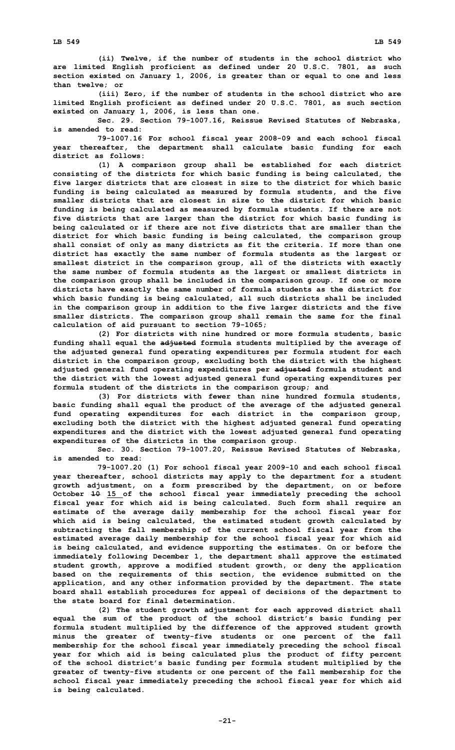**(ii) Twelve, if the number of students in the school district who are limited English proficient as defined under 20 U.S.C. 7801, as such section existed on January 1, 2006, is greater than or equal to one and less than twelve; or**

**(iii) Zero, if the number of students in the school district who are limited English proficient as defined under 20 U.S.C. 7801, as such section existed on January 1, 2006, is less than one.**

**Sec. 29. Section 79-1007.16, Reissue Revised Statutes of Nebraska, is amended to read:**

**79-1007.16 For school fiscal year 2008-09 and each school fiscal year thereafter, the department shall calculate basic funding for each district as follows:**

**(1) <sup>A</sup> comparison group shall be established for each district consisting of the districts for which basic funding is being calculated, the five larger districts that are closest in size to the district for which basic funding is being calculated as measured by formula students, and the five smaller districts that are closest in size to the district for which basic funding is being calculated as measured by formula students. If there are not five districts that are larger than the district for which basic funding is being calculated or if there are not five districts that are smaller than the district for which basic funding is being calculated, the comparison group shall consist of only as many districts as fit the criteria. If more than one district has exactly the same number of formula students as the largest or smallest district in the comparison group, all of the districts with exactly the same number of formula students as the largest or smallest districts in the comparison group shall be included in the comparison group. If one or more districts have exactly the same number of formula students as the district for which basic funding is being calculated, all such districts shall be included in the comparison group in addition to the five larger districts and the five smaller districts. The comparison group shall remain the same for the final calculation of aid pursuant to section 79-1065;**

**(2) For districts with nine hundred or more formula students, basic funding shall equal the adjusted formula students multiplied by the average of the adjusted general fund operating expenditures per formula student for each district in the comparison group, excluding both the district with the highest adjusted general fund operating expenditures per adjusted formula student and the district with the lowest adjusted general fund operating expenditures per formula student of the districts in the comparison group; and**

**(3) For districts with fewer than nine hundred formula students, basic funding shall equal the product of the average of the adjusted general fund operating expenditures for each district in the comparison group, excluding both the district with the highest adjusted general fund operating expenditures and the district with the lowest adjusted general fund operating expenditures of the districts in the comparison group.**

**Sec. 30. Section 79-1007.20, Reissue Revised Statutes of Nebraska, is amended to read:**

**79-1007.20 (1) For school fiscal year 2009-10 and each school fiscal year thereafter, school districts may apply to the department for <sup>a</sup> student growth adjustment, on <sup>a</sup> form prescribed by the department, on or before October 10 15 of the school fiscal year immediately preceding the school fiscal year for which aid is being calculated. Such form shall require an estimate of the average daily membership for the school fiscal year for which aid is being calculated, the estimated student growth calculated by subtracting the fall membership of the current school fiscal year from the estimated average daily membership for the school fiscal year for which aid is being calculated, and evidence supporting the estimates. On or before the immediately following December 1, the department shall approve the estimated student growth, approve <sup>a</sup> modified student growth, or deny the application based on the requirements of this section, the evidence submitted on the application, and any other information provided by the department. The state board shall establish procedures for appeal of decisions of the department to the state board for final determination.**

**(2) The student growth adjustment for each approved district shall equal the sum of the product of the school district's basic funding per formula student multiplied by the difference of the approved student growth minus the greater of twenty-five students or one percent of the fall membership for the school fiscal year immediately preceding the school fiscal year for which aid is being calculated plus the product of fifty percent of the school district's basic funding per formula student multiplied by the greater of twenty-five students or one percent of the fall membership for the school fiscal year immediately preceding the school fiscal year for which aid is being calculated.**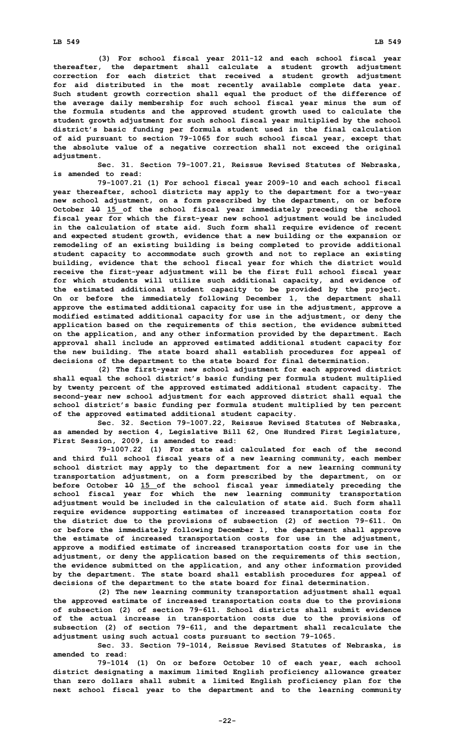**(3) For school fiscal year 2011-12 and each school fiscal year thereafter, the department shall calculate <sup>a</sup> student growth adjustment correction for each district that received <sup>a</sup> student growth adjustment for aid distributed in the most recently available complete data year. Such student growth correction shall equal the product of the difference of the average daily membership for such school fiscal year minus the sum of the formula students and the approved student growth used to calculate the student growth adjustment for such school fiscal year multiplied by the school district's basic funding per formula student used in the final calculation of aid pursuant to section 79-1065 for such school fiscal year, except that the absolute value of <sup>a</sup> negative correction shall not exceed the original adjustment.**

**Sec. 31. Section 79-1007.21, Reissue Revised Statutes of Nebraska, is amended to read:**

**79-1007.21 (1) For school fiscal year 2009-10 and each school fiscal year thereafter, school districts may apply to the department for <sup>a</sup> two-year new school adjustment, on <sup>a</sup> form prescribed by the department, on or before October 10 15 of the school fiscal year immediately preceding the school fiscal year for which the first-year new school adjustment would be included in the calculation of state aid. Such form shall require evidence of recent and expected student growth, evidence that <sup>a</sup> new building or the expansion or remodeling of an existing building is being completed to provide additional student capacity to accommodate such growth and not to replace an existing building, evidence that the school fiscal year for which the district would receive the first-year adjustment will be the first full school fiscal year for which students will utilize such additional capacity, and evidence of the estimated additional student capacity to be provided by the project. On or before the immediately following December 1, the department shall approve the estimated additional capacity for use in the adjustment, approve <sup>a</sup> modified estimated additional capacity for use in the adjustment, or deny the application based on the requirements of this section, the evidence submitted on the application, and any other information provided by the department. Each approval shall include an approved estimated additional student capacity for the new building. The state board shall establish procedures for appeal of decisions of the department to the state board for final determination.**

**(2) The first-year new school adjustment for each approved district shall equal the school district's basic funding per formula student multiplied by twenty percent of the approved estimated additional student capacity. The second-year new school adjustment for each approved district shall equal the school district's basic funding per formula student multiplied by ten percent of the approved estimated additional student capacity.**

**Sec. 32. Section 79-1007.22, Reissue Revised Statutes of Nebraska, as amended by section 4, Legislative Bill 62, One Hundred First Legislature, First Session, 2009, is amended to read:**

**79-1007.22 (1) For state aid calculated for each of the second and third full school fiscal years of <sup>a</sup> new learning community, each member school district may apply to the department for <sup>a</sup> new learning community transportation adjustment, on <sup>a</sup> form prescribed by the department, on or before October 10 15 of the school fiscal year immediately preceding the school fiscal year for which the new learning community transportation adjustment would be included in the calculation of state aid. Such form shall require evidence supporting estimates of increased transportation costs for the district due to the provisions of subsection (2) of section 79-611. On or before the immediately following December 1, the department shall approve the estimate of increased transportation costs for use in the adjustment, approve <sup>a</sup> modified estimate of increased transportation costs for use in the adjustment, or deny the application based on the requirements of this section, the evidence submitted on the application, and any other information provided by the department. The state board shall establish procedures for appeal of decisions of the department to the state board for final determination.**

**(2) The new learning community transportation adjustment shall equal the approved estimate of increased transportation costs due to the provisions of subsection (2) of section 79-611. School districts shall submit evidence of the actual increase in transportation costs due to the provisions of subsection (2) of section 79-611, and the department shall recalculate the adjustment using such actual costs pursuant to section 79-1065.**

**Sec. 33. Section 79-1014, Reissue Revised Statutes of Nebraska, is amended to read:**

**79-1014 (1) On or before October 10 of each year, each school district designating <sup>a</sup> maximum limited English proficiency allowance greater than zero dollars shall submit <sup>a</sup> limited English proficiency plan for the next school fiscal year to the department and to the learning community**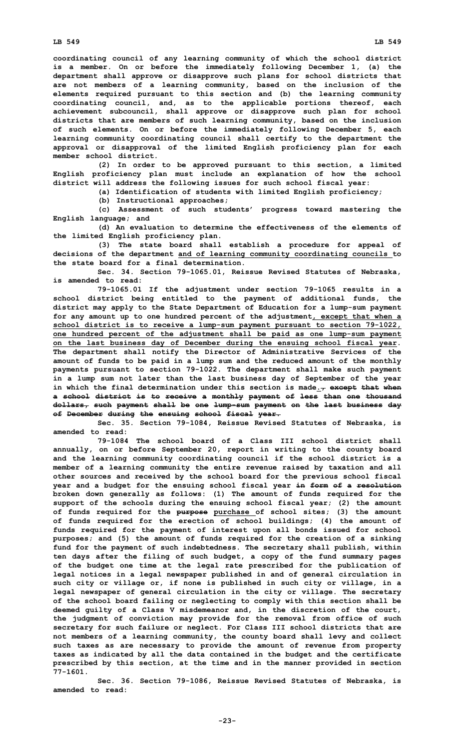**coordinating council of any learning community of which the school district is <sup>a</sup> member. On or before the immediately following December 1, (a) the department shall approve or disapprove such plans for school districts that are not members of <sup>a</sup> learning community, based on the inclusion of the elements required pursuant to this section and (b) the learning community coordinating council, and, as to the applicable portions thereof, each achievement subcouncil, shall approve or disapprove such plan for school districts that are members of such learning community, based on the inclusion of such elements. On or before the immediately following December 5, each learning community coordinating council shall certify to the department the approval or disapproval of the limited English proficiency plan for each member school district.**

**(2) In order to be approved pursuant to this section, <sup>a</sup> limited English proficiency plan must include an explanation of how the school district will address the following issues for such school fiscal year:**

**(a) Identification of students with limited English proficiency;**

**(b) Instructional approaches;**

**(c) Assessment of such students' progress toward mastering the English language; and**

**(d) An evaluation to determine the effectiveness of the elements of the limited English proficiency plan.**

**(3) The state board shall establish <sup>a</sup> procedure for appeal of decisions of the department and of learning community coordinating councils to the state board for a final determination.**

**Sec. 34. Section 79-1065.01, Reissue Revised Statutes of Nebraska, is amended to read:**

**79-1065.01 If the adjustment under section 79-1065 results in <sup>a</sup> school district being entitled to the payment of additional funds, the district may apply to the State Department of Education for <sup>a</sup> lump-sum payment for any amount up to one hundred percent of the adjustment, except that when <sup>a</sup> school district is to receive <sup>a</sup> lump-sum payment pursuant to section 79-1022, one hundred percent of the adjustment shall be paid as one lump-sum payment on the last business day of December during the ensuing school fiscal year. The department shall notify the Director of Administrative Services of the amount of funds to be paid in <sup>a</sup> lump sum and the reduced amount of the monthly payments pursuant to section 79-1022. The department shall make such payment in <sup>a</sup> lump sum not later than the last business day of September of the year in which the final determination under this section is made., except that when <sup>a</sup> school district is to receive <sup>a</sup> monthly payment of less than one thousand dollars, such payment shall be one lump-sum payment on the last business day of December during the ensuing school fiscal year.**

**Sec. 35. Section 79-1084, Reissue Revised Statutes of Nebraska, is amended to read:**

**79-1084 The school board of a Class III school district shall annually, on or before September 20, report in writing to the county board and the learning community coordinating council if the school district is <sup>a</sup> member of <sup>a</sup> learning community the entire revenue raised by taxation and all other sources and received by the school board for the previous school fiscal year and <sup>a</sup> budget for the ensuing school fiscal year in form of <sup>a</sup> resolution broken down generally as follows: (1) The amount of funds required for the support of the schools during the ensuing school fiscal year; (2) the amount of funds required for the purpose purchase of school sites; (3) the amount of funds required for the erection of school buildings; (4) the amount of funds required for the payment of interest upon all bonds issued for school purposes; and (5) the amount of funds required for the creation of <sup>a</sup> sinking fund for the payment of such indebtedness. The secretary shall publish, within ten days after the filing of such budget, <sup>a</sup> copy of the fund summary pages of the budget one time at the legal rate prescribed for the publication of legal notices in <sup>a</sup> legal newspaper published in and of general circulation in such city or village or, if none is published in such city or village, in <sup>a</sup> legal newspaper of general circulation in the city or village. The secretary of the school board failing or neglecting to comply with this section shall be deemed guilty of <sup>a</sup> Class V misdemeanor and, in the discretion of the court, the judgment of conviction may provide for the removal from office of such secretary for such failure or neglect. For Class III school districts that are not members of <sup>a</sup> learning community, the county board shall levy and collect such taxes as are necessary to provide the amount of revenue from property taxes as indicated by all the data contained in the budget and the certificate prescribed by this section, at the time and in the manner provided in section 77-1601.**

**Sec. 36. Section 79-1086, Reissue Revised Statutes of Nebraska, is amended to read:**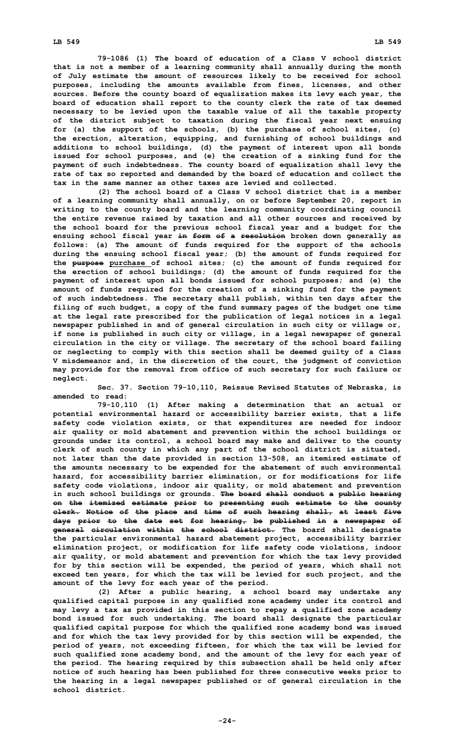**79-1086 (1) The board of education of <sup>a</sup> Class V school district that is not <sup>a</sup> member of <sup>a</sup> learning community shall annually during the month of July estimate the amount of resources likely to be received for school purposes, including the amounts available from fines, licenses, and other sources. Before the county board of equalization makes its levy each year, the board of education shall report to the county clerk the rate of tax deemed necessary to be levied upon the taxable value of all the taxable property of the district subject to taxation during the fiscal year next ensuing for (a) the support of the schools, (b) the purchase of school sites, (c) the erection, alteration, equipping, and furnishing of school buildings and additions to school buildings, (d) the payment of interest upon all bonds issued for school purposes, and (e) the creation of <sup>a</sup> sinking fund for the payment of such indebtedness. The county board of equalization shall levy the rate of tax so reported and demanded by the board of education and collect the tax in the same manner as other taxes are levied and collected.**

**(2) The school board of <sup>a</sup> Class V school district that is <sup>a</sup> member of <sup>a</sup> learning community shall annually, on or before September 20, report in writing to the county board and the learning community coordinating council the entire revenue raised by taxation and all other sources and received by the school board for the previous school fiscal year and <sup>a</sup> budget for the ensuing school fiscal year in form of <sup>a</sup> resolution broken down generally as follows: (a) The amount of funds required for the support of the schools during the ensuing school fiscal year; (b) the amount of funds required for the purpose purchase of school sites; (c) the amount of funds required for the erection of school buildings; (d) the amount of funds required for the payment of interest upon all bonds issued for school purposes; and (e) the amount of funds required for the creation of <sup>a</sup> sinking fund for the payment of such indebtedness. The secretary shall publish, within ten days after the filing of such budget, <sup>a</sup> copy of the fund summary pages of the budget one time at the legal rate prescribed for the publication of legal notices in <sup>a</sup> legal newspaper published in and of general circulation in such city or village or, if none is published in such city or village, in <sup>a</sup> legal newspaper of general circulation in the city or village. The secretary of the school board failing or neglecting to comply with this section shall be deemed guilty of <sup>a</sup> Class V misdemeanor and, in the discretion of the court, the judgment of conviction may provide for the removal from office of such secretary for such failure or neglect.**

**Sec. 37. Section 79-10,110, Reissue Revised Statutes of Nebraska, is amended to read:**

**79-10,110 (1) After making <sup>a</sup> determination that an actual or potential environmental hazard or accessibility barrier exists, that <sup>a</sup> life safety code violation exists, or that expenditures are needed for indoor air quality or mold abatement and prevention within the school buildings or grounds under its control, <sup>a</sup> school board may make and deliver to the county clerk of such county in which any part of the school district is situated, not later than the date provided in section 13-508, an itemized estimate of the amounts necessary to be expended for the abatement of such environmental hazard, for accessibility barrier elimination, or for modifications for life safety code violations, indoor air quality, or mold abatement and prevention in such school buildings or grounds. The board shall conduct <sup>a</sup> public hearing on the itemized estimate prior to presenting such estimate to the county clerk. Notice of the place and time of such hearing shall, at least five days prior to the date set for hearing, be published in <sup>a</sup> newspaper of general circulation within the school district. The board shall designate the particular environmental hazard abatement project, accessibility barrier elimination project, or modification for life safety code violations, indoor air quality, or mold abatement and prevention for which the tax levy provided for by this section will be expended, the period of years, which shall not exceed ten years, for which the tax will be levied for such project, and the amount of the levy for each year of the period.**

**(2) After <sup>a</sup> public hearing, <sup>a</sup> school board may undertake any qualified capital purpose in any qualified zone academy under its control and may levy <sup>a</sup> tax as provided in this section to repay <sup>a</sup> qualified zone academy bond issued for such undertaking. The board shall designate the particular qualified capital purpose for which the qualified zone academy bond was issued and for which the tax levy provided for by this section will be expended, the period of years, not exceeding fifteen, for which the tax will be levied for such qualified zone academy bond, and the amount of the levy for each year of the period. The hearing required by this subsection shall be held only after notice of such hearing has been published for three consecutive weeks prior to the hearing in <sup>a</sup> legal newspaper published or of general circulation in the school district.**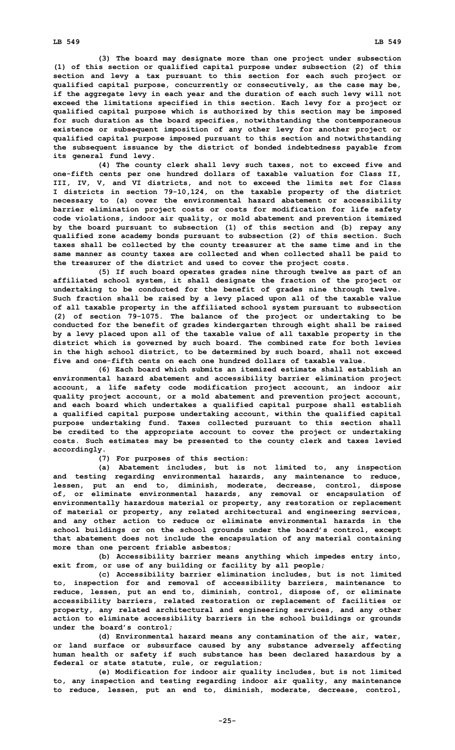**(3) The board may designate more than one project under subsection (1) of this section or qualified capital purpose under subsection (2) of this section and levy <sup>a</sup> tax pursuant to this section for each such project or qualified capital purpose, concurrently or consecutively, as the case may be, if the aggregate levy in each year and the duration of each such levy will not exceed the limitations specified in this section. Each levy for <sup>a</sup> project or qualified capital purpose which is authorized by this section may be imposed for such duration as the board specifies, notwithstanding the contemporaneous existence or subsequent imposition of any other levy for another project or qualified capital purpose imposed pursuant to this section and notwithstanding the subsequent issuance by the district of bonded indebtedness payable from its general fund levy.**

**(4) The county clerk shall levy such taxes, not to exceed five and one-fifth cents per one hundred dollars of taxable valuation for Class II, III, IV, V, and VI districts, and not to exceed the limits set for Class <sup>I</sup> districts in section 79-10,124, on the taxable property of the district necessary to (a) cover the environmental hazard abatement or accessibility barrier elimination project costs or costs for modification for life safety code violations, indoor air quality, or mold abatement and prevention itemized by the board pursuant to subsection (1) of this section and (b) repay any qualified zone academy bonds pursuant to subsection (2) of this section. Such taxes shall be collected by the county treasurer at the same time and in the same manner as county taxes are collected and when collected shall be paid to the treasurer of the district and used to cover the project costs.**

**(5) If such board operates grades nine through twelve as part of an affiliated school system, it shall designate the fraction of the project or undertaking to be conducted for the benefit of grades nine through twelve. Such fraction shall be raised by <sup>a</sup> levy placed upon all of the taxable value of all taxable property in the affiliated school system pursuant to subsection (2) of section 79-1075. The balance of the project or undertaking to be conducted for the benefit of grades kindergarten through eight shall be raised by <sup>a</sup> levy placed upon all of the taxable value of all taxable property in the district which is governed by such board. The combined rate for both levies in the high school district, to be determined by such board, shall not exceed five and one-fifth cents on each one hundred dollars of taxable value.**

**(6) Each board which submits an itemized estimate shall establish an environmental hazard abatement and accessibility barrier elimination project account, <sup>a</sup> life safety code modification project account, an indoor air quality project account, or <sup>a</sup> mold abatement and prevention project account, and each board which undertakes <sup>a</sup> qualified capital purpose shall establish <sup>a</sup> qualified capital purpose undertaking account, within the qualified capital purpose undertaking fund. Taxes collected pursuant to this section shall be credited to the appropriate account to cover the project or undertaking costs. Such estimates may be presented to the county clerk and taxes levied accordingly.**

**(7) For purposes of this section:**

**(a) Abatement includes, but is not limited to, any inspection and testing regarding environmental hazards, any maintenance to reduce, lessen, put an end to, diminish, moderate, decrease, control, dispose of, or eliminate environmental hazards, any removal or encapsulation of environmentally hazardous material or property, any restoration or replacement of material or property, any related architectural and engineering services, and any other action to reduce or eliminate environmental hazards in the school buildings or on the school grounds under the board's control, except that abatement does not include the encapsulation of any material containing more than one percent friable asbestos;**

**(b) Accessibility barrier means anything which impedes entry into, exit from, or use of any building or facility by all people;**

**(c) Accessibility barrier elimination includes, but is not limited to, inspection for and removal of accessibility barriers, maintenance to reduce, lessen, put an end to, diminish, control, dispose of, or eliminate accessibility barriers, related restoration or replacement of facilities or property, any related architectural and engineering services, and any other action to eliminate accessibility barriers in the school buildings or grounds under the board's control;**

**(d) Environmental hazard means any contamination of the air, water, or land surface or subsurface caused by any substance adversely affecting human health or safety if such substance has been declared hazardous by <sup>a</sup> federal or state statute, rule, or regulation;**

**(e) Modification for indoor air quality includes, but is not limited to, any inspection and testing regarding indoor air quality, any maintenance to reduce, lessen, put an end to, diminish, moderate, decrease, control,**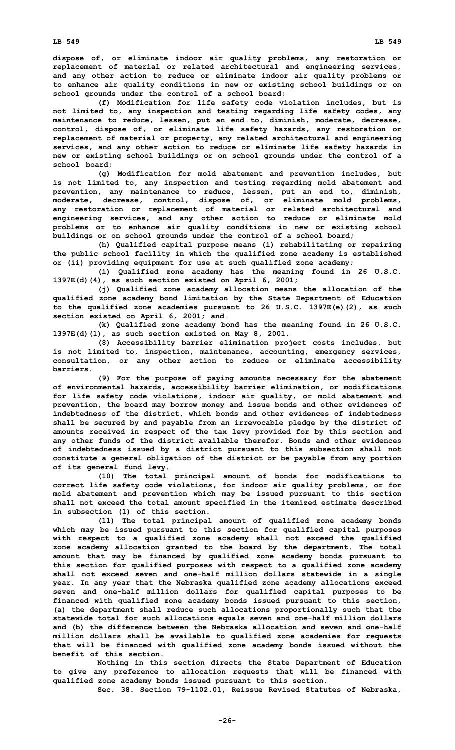**dispose of, or eliminate indoor air quality problems, any restoration or replacement of material or related architectural and engineering services, and any other action to reduce or eliminate indoor air quality problems or to enhance air quality conditions in new or existing school buildings or on school grounds under the control of <sup>a</sup> school board;**

**(f) Modification for life safety code violation includes, but is not limited to, any inspection and testing regarding life safety codes, any maintenance to reduce, lessen, put an end to, diminish, moderate, decrease, control, dispose of, or eliminate life safety hazards, any restoration or replacement of material or property, any related architectural and engineering services, and any other action to reduce or eliminate life safety hazards in new or existing school buildings or on school grounds under the control of <sup>a</sup> school board;**

**(g) Modification for mold abatement and prevention includes, but is not limited to, any inspection and testing regarding mold abatement and prevention, any maintenance to reduce, lessen, put an end to, diminish, moderate, decrease, control, dispose of, or eliminate mold problems, any restoration or replacement of material or related architectural and engineering services, and any other action to reduce or eliminate mold problems or to enhance air quality conditions in new or existing school buildings or on school grounds under the control of <sup>a</sup> school board;**

**(h) Qualified capital purpose means (i) rehabilitating or repairing the public school facility in which the qualified zone academy is established or (ii) providing equipment for use at such qualified zone academy;**

**(i) Qualified zone academy has the meaning found in 26 U.S.C. 1397E(d)(4), as such section existed on April 6, 2001;**

**(j) Qualified zone academy allocation means the allocation of the qualified zone academy bond limitation by the State Department of Education to the qualified zone academies pursuant to 26 U.S.C. 1397E(e)(2), as such section existed on April 6, 2001; and**

**(k) Qualified zone academy bond has the meaning found in 26 U.S.C. 1397E(d)(1), as such section existed on May 8, 2001.**

**(8) Accessibility barrier elimination project costs includes, but is not limited to, inspection, maintenance, accounting, emergency services, consultation, or any other action to reduce or eliminate accessibility barriers.**

**(9) For the purpose of paying amounts necessary for the abatement of environmental hazards, accessibility barrier elimination, or modifications for life safety code violations, indoor air quality, or mold abatement and prevention, the board may borrow money and issue bonds and other evidences of indebtedness of the district, which bonds and other evidences of indebtedness shall be secured by and payable from an irrevocable pledge by the district of amounts received in respect of the tax levy provided for by this section and any other funds of the district available therefor. Bonds and other evidences of indebtedness issued by <sup>a</sup> district pursuant to this subsection shall not constitute <sup>a</sup> general obligation of the district or be payable from any portion of its general fund levy.**

**(10) The total principal amount of bonds for modifications to correct life safety code violations, for indoor air quality problems, or for mold abatement and prevention which may be issued pursuant to this section shall not exceed the total amount specified in the itemized estimate described in subsection (1) of this section.**

**(11) The total principal amount of qualified zone academy bonds which may be issued pursuant to this section for qualified capital purposes with respect to <sup>a</sup> qualified zone academy shall not exceed the qualified zone academy allocation granted to the board by the department. The total amount that may be financed by qualified zone academy bonds pursuant to this section for qualified purposes with respect to <sup>a</sup> qualified zone academy shall not exceed seven and one-half million dollars statewide in <sup>a</sup> single year. In any year that the Nebraska qualified zone academy allocations exceed seven and one-half million dollars for qualified capital purposes to be financed with qualified zone academy bonds issued pursuant to this section, (a) the department shall reduce such allocations proportionally such that the statewide total for such allocations equals seven and one-half million dollars and (b) the difference between the Nebraska allocation and seven and one-half million dollars shall be available to qualified zone academies for requests that will be financed with qualified zone academy bonds issued without the benefit of this section.**

**Nothing in this section directs the State Department of Education to give any preference to allocation requests that will be financed with qualified zone academy bonds issued pursuant to this section. Sec. 38. Section 79-1102.01, Reissue Revised Statutes of Nebraska,**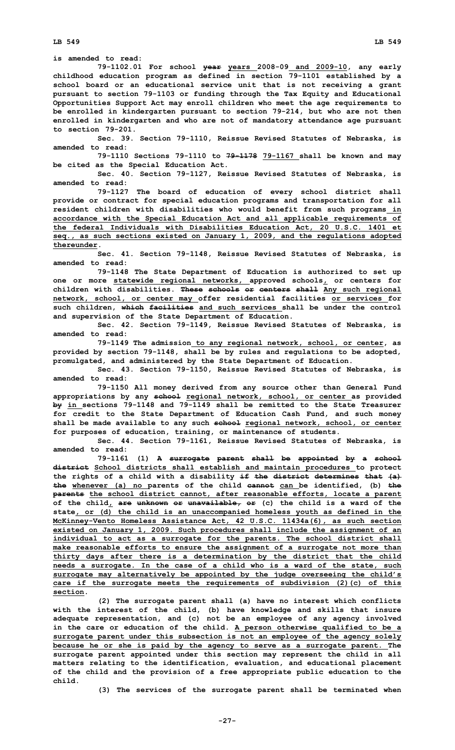**LB 549 LB 549**

**is amended to read:**

**79-1102.01 For school year years 2008-09 and 2009-10, any early childhood education program as defined in section 79-1101 established by <sup>a</sup> school board or an educational service unit that is not receiving <sup>a</sup> grant pursuant to section 79-1103 or funding through the Tax Equity and Educational Opportunities Support Act may enroll children who meet the age requirements to be enrolled in kindergarten pursuant to section 79-214, but who are not then enrolled in kindergarten and who are not of mandatory attendance age pursuant to section 79-201.**

**Sec. 39. Section 79-1110, Reissue Revised Statutes of Nebraska, is amended to read:**

**79-1110 Sections 79-1110 to 79-1178 79-1167 shall be known and may be cited as the Special Education Act.**

**Sec. 40. Section 79-1127, Reissue Revised Statutes of Nebraska, is amended to read:**

**79-1127 The board of education of every school district shall provide or contract for special education programs and transportation for all resident children with disabilities who would benefit from such programs in accordance with the Special Education Act and all applicable requirements of the federal Individuals with Disabilities Education Act, 20 U.S.C. 1401 et seq., as such sections existed on January 1, 2009, and the regulations adopted thereunder.**

**Sec. 41. Section 79-1148, Reissue Revised Statutes of Nebraska, is amended to read:**

**79-1148 The State Department of Education is authorized to set up one or more statewide regional networks, approved schools, or centers for children with disabilities. These schools or centers shall Any such regional network, school, or center may offer residential facilities or services for such children, which facilities and such services shall be under the control and supervision of the State Department of Education.**

**Sec. 42. Section 79-1149, Reissue Revised Statutes of Nebraska, is amended to read:**

**79-1149 The admission to any regional network, school, or center, as provided by section 79-1148, shall be by rules and regulations to be adopted, promulgated, and administered by the State Department of Education.**

**Sec. 43. Section 79-1150, Reissue Revised Statutes of Nebraska, is amended to read:**

**79-1150 All money derived from any source other than General Fund appropriations by any school regional network, school, or center as provided by in sections 79-1148 and 79-1149 shall be remitted to the State Treasurer for credit to the State Department of Education Cash Fund, and such money shall be made available to any such school regional network, school, or center for purposes of education, training, or maintenance of students.**

**Sec. 44. Section 79-1161, Reissue Revised Statutes of Nebraska, is amended to read:**

**79-1161 (1) <sup>A</sup> surrogate parent shall be appointed by <sup>a</sup> school district School districts shall establish and maintain procedures to protect the rights of <sup>a</sup> child with <sup>a</sup> disability if the district determines that (a) the whenever (a) no parents of the child cannot can be identified, (b) the parents the school district cannot, after reasonable efforts, locate <sup>a</sup> parent of the child, are unknown or unavailable, or (c) the child is <sup>a</sup> ward of the state, or (d) the child is an unaccompanied homeless youth as defined in the McKinney-Vento Homeless Assistance Act, 42 U.S.C. 11434a(6), as such section existed on January 1, 2009. Such procedures shall include the assignment of an individual to act as <sup>a</sup> surrogate for the parents. The school district shall make reasonable efforts to ensure the assignment of <sup>a</sup> surrogate not more than thirty days after there is <sup>a</sup> determination by the district that the child needs <sup>a</sup> surrogate. In the case of <sup>a</sup> child who is <sup>a</sup> ward of the state, such surrogate may alternatively be appointed by the judge overseeing the child's care if the surrogate meets the requirements of subdivision (2)(c) of this section.**

**(2) The surrogate parent shall (a) have no interest which conflicts with the interest of the child, (b) have knowledge and skills that insure adequate representation, and (c) not be an employee of any agency involved in the care or education of the child. A person otherwise qualified to be <sup>a</sup> surrogate parent under this subsection is not an employee of the agency solely because he or she is paid by the agency to serve as <sup>a</sup> surrogate parent. The surrogate parent appointed under this section may represent the child in all matters relating to the identification, evaluation, and educational placement of the child and the provision of <sup>a</sup> free appropriate public education to the child.**

**(3) The services of the surrogate parent shall be terminated when**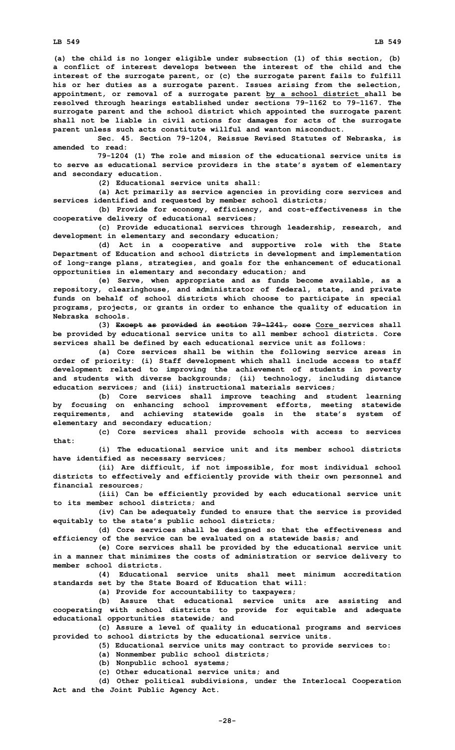**(a) the child is no longer eligible under subsection (1) of this section, (b) <sup>a</sup> conflict of interest develops between the interest of the child and the interest of the surrogate parent, or (c) the surrogate parent fails to fulfill his or her duties as <sup>a</sup> surrogate parent. Issues arising from the selection, appointment, or removal of <sup>a</sup> surrogate parent by <sup>a</sup> school district shall be resolved through hearings established under sections 79-1162 to 79-1167. The surrogate parent and the school district which appointed the surrogate parent shall not be liable in civil actions for damages for acts of the surrogate parent unless such acts constitute willful and wanton misconduct.**

**Sec. 45. Section 79-1204, Reissue Revised Statutes of Nebraska, is amended to read:**

**79-1204 (1) The role and mission of the educational service units is to serve as educational service providers in the state's system of elementary and secondary education.**

**(2) Educational service units shall:**

**(a) Act primarily as service agencies in providing core services and services identified and requested by member school districts;**

**(b) Provide for economy, efficiency, and cost-effectiveness in the cooperative delivery of educational services;**

**(c) Provide educational services through leadership, research, and development in elementary and secondary education;**

**(d) Act in <sup>a</sup> cooperative and supportive role with the State Department of Education and school districts in development and implementation of long-range plans, strategies, and goals for the enhancement of educational opportunities in elementary and secondary education; and**

**(e) Serve, when appropriate and as funds become available, as <sup>a</sup> repository, clearinghouse, and administrator of federal, state, and private funds on behalf of school districts which choose to participate in special programs, projects, or grants in order to enhance the quality of education in Nebraska schools.**

**(3) Except as provided in section 79-1241, core Core services shall be provided by educational service units to all member school districts. Core services shall be defined by each educational service unit as follows:**

**(a) Core services shall be within the following service areas in order of priority: (i) Staff development which shall include access to staff development related to improving the achievement of students in poverty and students with diverse backgrounds; (ii) technology, including distance education services; and (iii) instructional materials services;**

**(b) Core services shall improve teaching and student learning by focusing on enhancing school improvement efforts, meeting statewide requirements, and achieving statewide goals in the state's system of elementary and secondary education;**

**(c) Core services shall provide schools with access to services that:**

**(i) The educational service unit and its member school districts have identified as necessary services;**

**(ii) Are difficult, if not impossible, for most individual school districts to effectively and efficiently provide with their own personnel and financial resources;**

**(iii) Can be efficiently provided by each educational service unit to its member school districts; and**

**(iv) Can be adequately funded to ensure that the service is provided equitably to the state's public school districts;**

**(d) Core services shall be designed so that the effectiveness and efficiency of the service can be evaluated on <sup>a</sup> statewide basis; and**

**(e) Core services shall be provided by the educational service unit in <sup>a</sup> manner that minimizes the costs of administration or service delivery to member school districts.**

**(4) Educational service units shall meet minimum accreditation standards set by the State Board of Education that will:**

**(a) Provide for accountability to taxpayers;**

**(b) Assure that educational service units are assisting and cooperating with school districts to provide for equitable and adequate educational opportunities statewide; and**

**(c) Assure <sup>a</sup> level of quality in educational programs and services provided to school districts by the educational service units.**

**(5) Educational service units may contract to provide services to:**

**(a) Nonmember public school districts;**

**(b) Nonpublic school systems;**

**(c) Other educational service units; and**

**(d) Other political subdivisions, under the Interlocal Cooperation Act and the Joint Public Agency Act.**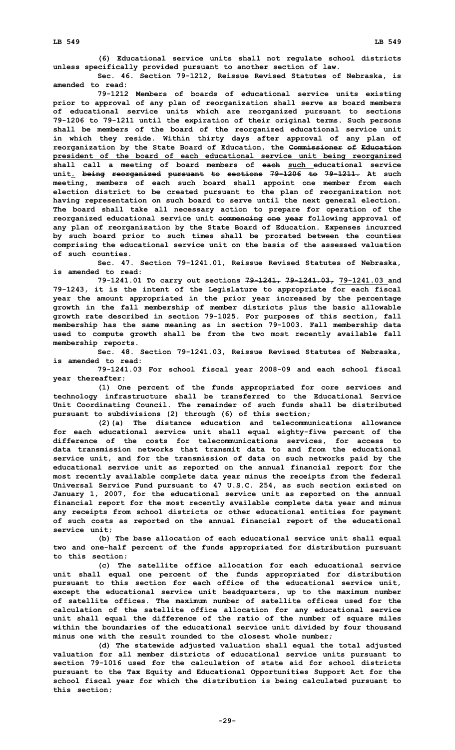**(6) Educational service units shall not regulate school districts unless specifically provided pursuant to another section of law.**

**Sec. 46. Section 79-1212, Reissue Revised Statutes of Nebraska, is amended to read:**

**79-1212 Members of boards of educational service units existing prior to approval of any plan of reorganization shall serve as board members of educational service units which are reorganized pursuant to sections 79-1206 to 79-1211 until the expiration of their original terms. Such persons shall be members of the board of the reorganized educational service unit in which they reside. Within thirty days after approval of any plan of reorganization by the State Board of Education, the Commissioner of Education president of the board of each educational service unit being reorganized shall call <sup>a</sup> meeting of board members of each such educational service unit. being reorganized pursuant to sections 79-1206 to 79-1211. At such meeting, members of each such board shall appoint one member from each election district to be created pursuant to the plan of reorganization not having representation on such board to serve until the next general election. The board shall take all necessary action to prepare for operation of the reorganized educational service unit commencing one year following approval of any plan of reorganization by the State Board of Education. Expenses incurred by such board prior to such times shall be prorated between the counties comprising the educational service unit on the basis of the assessed valuation of such counties.**

**Sec. 47. Section 79-1241.01, Reissue Revised Statutes of Nebraska, is amended to read:**

**79-1241.01 To carry out sections 79-1241, 79-1241.03, 79-1241.03 and 79-1243, it is the intent of the Legislature to appropriate for each fiscal year the amount appropriated in the prior year increased by the percentage growth in the fall membership of member districts plus the basic allowable growth rate described in section 79-1025. For purposes of this section, fall membership has the same meaning as in section 79-1003. Fall membership data used to compute growth shall be from the two most recently available fall membership reports.**

**Sec. 48. Section 79-1241.03, Reissue Revised Statutes of Nebraska, is amended to read:**

**79-1241.03 For school fiscal year 2008-09 and each school fiscal year thereafter:**

**(1) One percent of the funds appropriated for core services and technology infrastructure shall be transferred to the Educational Service Unit Coordinating Council. The remainder of such funds shall be distributed pursuant to subdivisions (2) through (6) of this section;**

**(2)(a) The distance education and telecommunications allowance for each educational service unit shall equal eighty-five percent of the difference of the costs for telecommunications services, for access to data transmission networks that transmit data to and from the educational service unit, and for the transmission of data on such networks paid by the educational service unit as reported on the annual financial report for the most recently available complete data year minus the receipts from the federal Universal Service Fund pursuant to 47 U.S.C. 254, as such section existed on January 1, 2007, for the educational service unit as reported on the annual financial report for the most recently available complete data year and minus any receipts from school districts or other educational entities for payment of such costs as reported on the annual financial report of the educational service unit;**

**(b) The base allocation of each educational service unit shall equal two and one-half percent of the funds appropriated for distribution pursuant to this section;**

**(c) The satellite office allocation for each educational service unit shall equal one percent of the funds appropriated for distribution pursuant to this section for each office of the educational service unit, except the educational service unit headquarters, up to the maximum number of satellite offices. The maximum number of satellite offices used for the calculation of the satellite office allocation for any educational service unit shall equal the difference of the ratio of the number of square miles within the boundaries of the educational service unit divided by four thousand minus one with the result rounded to the closest whole number;**

**(d) The statewide adjusted valuation shall equal the total adjusted valuation for all member districts of educational service units pursuant to section 79-1016 used for the calculation of state aid for school districts pursuant to the Tax Equity and Educational Opportunities Support Act for the school fiscal year for which the distribution is being calculated pursuant to this section;**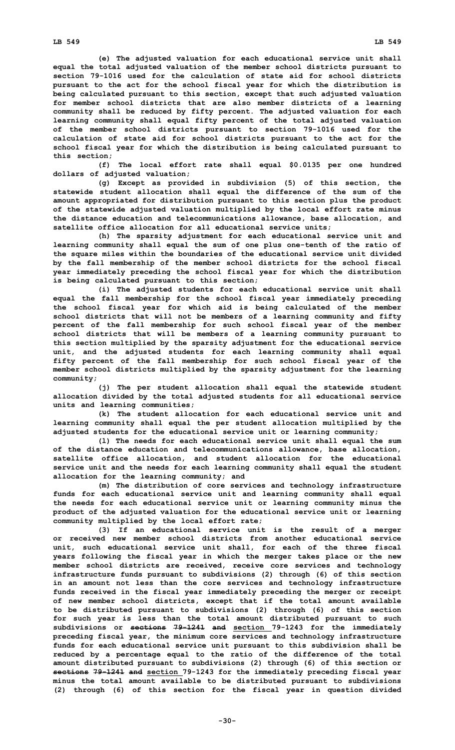**(e) The adjusted valuation for each educational service unit shall equal the total adjusted valuation of the member school districts pursuant to section 79-1016 used for the calculation of state aid for school districts pursuant to the act for the school fiscal year for which the distribution is being calculated pursuant to this section, except that such adjusted valuation for member school districts that are also member districts of <sup>a</sup> learning community shall be reduced by fifty percent. The adjusted valuation for each learning community shall equal fifty percent of the total adjusted valuation of the member school districts pursuant to section 79-1016 used for the calculation of state aid for school districts pursuant to the act for the school fiscal year for which the distribution is being calculated pursuant to this section;**

**(f) The local effort rate shall equal \$0.0135 per one hundred dollars of adjusted valuation;**

**(g) Except as provided in subdivision (5) of this section, the statewide student allocation shall equal the difference of the sum of the amount appropriated for distribution pursuant to this section plus the product of the statewide adjusted valuation multiplied by the local effort rate minus the distance education and telecommunications allowance, base allocation, and satellite office allocation for all educational service units;**

**(h) The sparsity adjustment for each educational service unit and learning community shall equal the sum of one plus one-tenth of the ratio of the square miles within the boundaries of the educational service unit divided by the fall membership of the member school districts for the school fiscal year immediately preceding the school fiscal year for which the distribution is being calculated pursuant to this section;**

**(i) The adjusted students for each educational service unit shall equal the fall membership for the school fiscal year immediately preceding the school fiscal year for which aid is being calculated of the member school districts that will not be members of <sup>a</sup> learning community and fifty percent of the fall membership for such school fiscal year of the member school districts that will be members of <sup>a</sup> learning community pursuant to this section multiplied by the sparsity adjustment for the educational service unit, and the adjusted students for each learning community shall equal fifty percent of the fall membership for such school fiscal year of the member school districts multiplied by the sparsity adjustment for the learning community;**

**(j) The per student allocation shall equal the statewide student allocation divided by the total adjusted students for all educational service units and learning communities;**

**(k) The student allocation for each educational service unit and learning community shall equal the per student allocation multiplied by the adjusted students for the educational service unit or learning community;**

**(l) The needs for each educational service unit shall equal the sum of the distance education and telecommunications allowance, base allocation, satellite office allocation, and student allocation for the educational service unit and the needs for each learning community shall equal the student allocation for the learning community; and**

**(m) The distribution of core services and technology infrastructure funds for each educational service unit and learning community shall equal the needs for each educational service unit or learning community minus the product of the adjusted valuation for the educational service unit or learning community multiplied by the local effort rate;**

**(3) If an educational service unit is the result of <sup>a</sup> merger or received new member school districts from another educational service unit, such educational service unit shall, for each of the three fiscal years following the fiscal year in which the merger takes place or the new member school districts are received, receive core services and technology infrastructure funds pursuant to subdivisions (2) through (6) of this section in an amount not less than the core services and technology infrastructure funds received in the fiscal year immediately preceding the merger or receipt of new member school districts, except that if the total amount available to be distributed pursuant to subdivisions (2) through (6) of this section for such year is less than the total amount distributed pursuant to such subdivisions or sections 79-1241 and section 79-1243 for the immediately preceding fiscal year, the minimum core services and technology infrastructure funds for each educational service unit pursuant to this subdivision shall be reduced by <sup>a</sup> percentage equal to the ratio of the difference of the total amount distributed pursuant to subdivisions (2) through (6) of this section or sections 79-1241 and section 79-1243 for the immediately preceding fiscal year minus the total amount available to be distributed pursuant to subdivisions (2) through (6) of this section for the fiscal year in question divided**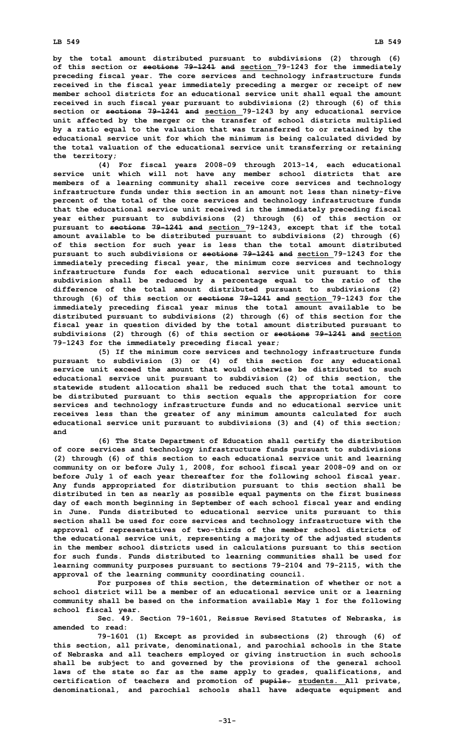**by the total amount distributed pursuant to subdivisions (2) through (6) of this section or sections 79-1241 and section 79-1243 for the immediately preceding fiscal year. The core services and technology infrastructure funds received in the fiscal year immediately preceding <sup>a</sup> merger or receipt of new member school districts for an educational service unit shall equal the amount received in such fiscal year pursuant to subdivisions (2) through (6) of this section or sections 79-1241 and section 79-1243 by any educational service unit affected by the merger or the transfer of school districts multiplied by <sup>a</sup> ratio equal to the valuation that was transferred to or retained by the educational service unit for which the minimum is being calculated divided by the total valuation of the educational service unit transferring or retaining the territory;**

**(4) For fiscal years 2008-09 through 2013-14, each educational service unit which will not have any member school districts that are members of <sup>a</sup> learning community shall receive core services and technology infrastructure funds under this section in an amount not less than ninety-five percent of the total of the core services and technology infrastructure funds that the educational service unit received in the immediately preceding fiscal year either pursuant to subdivisions (2) through (6) of this section or pursuant to sections 79-1241 and section 79-1243, except that if the total amount available to be distributed pursuant to subdivisions (2) through (6) of this section for such year is less than the total amount distributed pursuant to such subdivisions or sections 79-1241 and section 79-1243 for the immediately preceding fiscal year, the minimum core services and technology infrastructure funds for each educational service unit pursuant to this subdivision shall be reduced by <sup>a</sup> percentage equal to the ratio of the difference of the total amount distributed pursuant to subdivisions (2) through (6) of this section or sections 79-1241 and section 79-1243 for the immediately preceding fiscal year minus the total amount available to be distributed pursuant to subdivisions (2) through (6) of this section for the fiscal year in question divided by the total amount distributed pursuant to subdivisions (2) through (6) of this section or sections 79-1241 and section 79-1243 for the immediately preceding fiscal year;**

**(5) If the minimum core services and technology infrastructure funds pursuant to subdivision (3) or (4) of this section for any educational service unit exceed the amount that would otherwise be distributed to such educational service unit pursuant to subdivision (2) of this section, the statewide student allocation shall be reduced such that the total amount to be distributed pursuant to this section equals the appropriation for core services and technology infrastructure funds and no educational service unit receives less than the greater of any minimum amounts calculated for such educational service unit pursuant to subdivisions (3) and (4) of this section; and**

**(6) The State Department of Education shall certify the distribution of core services and technology infrastructure funds pursuant to subdivisions (2) through (6) of this section to each educational service unit and learning community on or before July 1, 2008, for school fiscal year 2008-09 and on or before July 1 of each year thereafter for the following school fiscal year. Any funds appropriated for distribution pursuant to this section shall be distributed in ten as nearly as possible equal payments on the first business day of each month beginning in September of each school fiscal year and ending in June. Funds distributed to educational service units pursuant to this section shall be used for core services and technology infrastructure with the approval of representatives of two-thirds of the member school districts of the educational service unit, representing <sup>a</sup> majority of the adjusted students in the member school districts used in calculations pursuant to this section for such funds. Funds distributed to learning communities shall be used for learning community purposes pursuant to sections 79-2104 and 79-2115, with the approval of the learning community coordinating council.**

**For purposes of this section, the determination of whether or not <sup>a</sup> school district will be <sup>a</sup> member of an educational service unit or <sup>a</sup> learning community shall be based on the information available May 1 for the following school fiscal year.**

**Sec. 49. Section 79-1601, Reissue Revised Statutes of Nebraska, is amended to read:**

**79-1601 (1) Except as provided in subsections (2) through (6) of this section, all private, denominational, and parochial schools in the State of Nebraska and all teachers employed or giving instruction in such schools shall be subject to and governed by the provisions of the general school laws of the state so far as the same apply to grades, qualifications, and certification of teachers and promotion of pupils. students. All private, denominational, and parochial schools shall have adequate equipment and**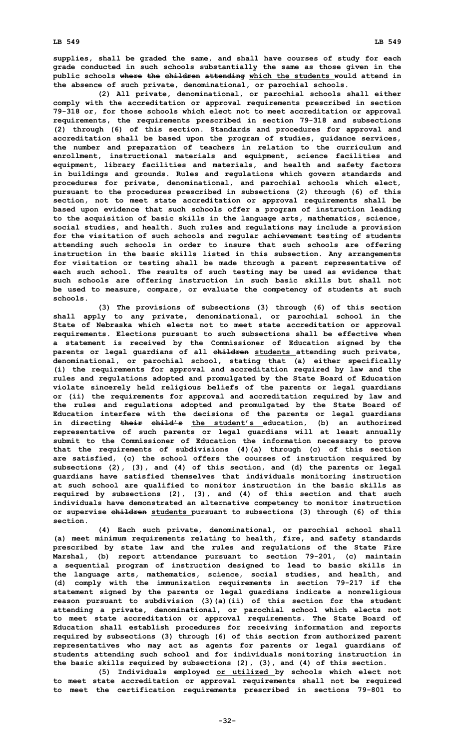**(2) All private, denominational, or parochial schools shall either comply with the accreditation or approval requirements prescribed in section 79-318 or, for those schools which elect not to meet accreditation or approval requirements, the requirements prescribed in section 79-318 and subsections (2) through (6) of this section. Standards and procedures for approval and accreditation shall be based upon the program of studies, guidance services, the number and preparation of teachers in relation to the curriculum and enrollment, instructional materials and equipment, science facilities and equipment, library facilities and materials, and health and safety factors in buildings and grounds. Rules and regulations which govern standards and procedures for private, denominational, and parochial schools which elect, pursuant to the procedures prescribed in subsections (2) through (6) of this section, not to meet state accreditation or approval requirements shall be based upon evidence that such schools offer <sup>a</sup> program of instruction leading to the acquisition of basic skills in the language arts, mathematics, science, social studies, and health. Such rules and regulations may include <sup>a</sup> provision for the visitation of such schools and regular achievement testing of students attending such schools in order to insure that such schools are offering instruction in the basic skills listed in this subsection. Any arrangements for visitation or testing shall be made through <sup>a</sup> parent representative of each such school. The results of such testing may be used as evidence that such schools are offering instruction in such basic skills but shall not be used to measure, compare, or evaluate the competency of students at such schools.**

**(3) The provisions of subsections (3) through (6) of this section shall apply to any private, denominational, or parochial school in the State of Nebraska which elects not to meet state accreditation or approval requirements. Elections pursuant to such subsections shall be effective when <sup>a</sup> statement is received by the Commissioner of Education signed by the parents or legal guardians of all children students attending such private, denominational, or parochial school, stating that (a) either specifically (i) the requirements for approval and accreditation required by law and the rules and regulations adopted and promulgated by the State Board of Education violate sincerely held religious beliefs of the parents or legal guardians or (ii) the requirements for approval and accreditation required by law and the rules and regulations adopted and promulgated by the State Board of Education interfere with the decisions of the parents or legal guardians in directing their child's the student's education, (b) an authorized representative of such parents or legal guardians will at least annually submit to the Commissioner of Education the information necessary to prove that the requirements of subdivisions (4)(a) through (c) of this section are satisfied, (c) the school offers the courses of instruction required by subsections (2), (3), and (4) of this section, and (d) the parents or legal guardians have satisfied themselves that individuals monitoring instruction at such school are qualified to monitor instruction in the basic skills as required by subsections (2), (3), and (4) of this section and that such individuals have demonstrated an alternative competency to monitor instruction or supervise children students pursuant to subsections (3) through (6) of this section.**

**(4) Each such private, denominational, or parochial school shall (a) meet minimum requirements relating to health, fire, and safety standards prescribed by state law and the rules and regulations of the State Fire Marshal, (b) report attendance pursuant to section 79-201, (c) maintain <sup>a</sup> sequential program of instruction designed to lead to basic skills in the language arts, mathematics, science, social studies, and health, and (d) comply with the immunization requirements in section 79-217 if the statement signed by the parents or legal guardians indicate <sup>a</sup> nonreligious reason pursuant to subdivision (3)(a)(ii) of this section for the student attending <sup>a</sup> private, denominational, or parochial school which elects not to meet state accreditation or approval requirements. The State Board of Education shall establish procedures for receiving information and reports required by subsections (3) through (6) of this section from authorized parent representatives who may act as agents for parents or legal guardians of students attending such school and for individuals monitoring instruction in the basic skills required by subsections (2), (3), and (4) of this section.**

**(5) Individuals employed or utilized by schools which elect not to meet state accreditation or approval requirements shall not be required to meet the certification requirements prescribed in sections 79-801 to**